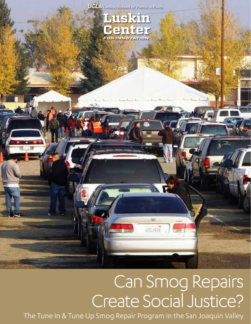



# Can Smog Repairs Create Social Justice?

 $\overline{121}$ 

6063926

1

The Tune In & Tune Up Smog Repair Program in the San Joaquin Valley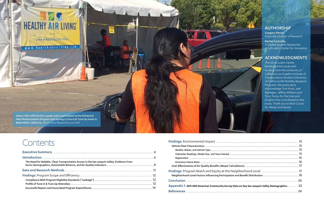Gregory Pierce, Associate Director of Research

### AUTHORSHIP

Rachel Connolly, Graduate Student Researcher UCLA Luskin Center for Innovation

### ACKNOWLEDGMENTS

The UCLA Luskin Center developed this study with funding from the University of California Los Angeles Institute of Transportation Studies (University of California SB1 Mobility Research Program). We particularly acknowledge Tom Knox, Joel Riphagen, Jeffrey Williams and Tony Tonnu for the time and insights they contributed to this study. Thank you to Nick Cuccia for design and layout.



## **Contents**

| Appendix 1. 2011-2015 American Community Survey Data on Key San Joaquin Valley Demographics  23 |  |
|-------------------------------------------------------------------------------------------------|--|
|                                                                                                 |  |

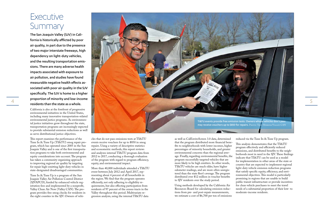## **Executive** Summary

The San Joaquin Valley (SJV) in California is historically afflicted by poor air quality, in part due to the presence of two major interstate freeways, high dependency on light-duty vehicles, and the resulting transportation emissions. There are many adverse health impacts associated with exposure to air pollution, and studies have found measurable negative health effects associated with poor air quality in the SJV specifically. The SJV is home to a higher proportion of minority and low-income residents than the state as a whole.

California is also at the forefront of progressive environmental initiatives in the United States, including many innovative transportation-related environmental justice programs. As environmental justice initiatives grow throughout the state, transportation programs are increasingly expected to provide substantial emission reductions as well as serve distributional justice objectives.

This report examines the performance of the Tune In & Tune Up (TI&TU) smog repair program, which has operated since 2005 in the San Joaquin Valley and is one of the first transportation programs to take both environmental and equity considerations into account. The program has taken a community organizing approach to improving regional air quality by targeting for repair high-emitting light-duty vehicles in state-designated disadvantaged communities.

Tune In & Tune Up is a program of the San Joaquin Valley Air Pollution Control District (SJVAPCD), funded by enhanced vehicle registration fees and implemented by a nonprofit, Valley Clean Air Now (Valley CAN). The program provides free smog checks for residents in the eight counties in the SJV. Owners of vehicles that do not pass emissions tests at TI&TU events receive vouchers for up to \$850 in smog repairs. Using a variety of descriptive statistics and econometric methods, this report reviews and analyzes internal TI&TU program data from 2012 to 2017, conducting a thorough evaluation of the program with regard to program efficiency, equity, and environmental impact.

<span id="page-2-0"></span>

More than 40,000 individuals attended a TI&TU event between July 2012 and April 2017, representing about 4 percent of all households in the region. We find that the program operates efficiently, not only adhering to eligibility requirements, but also effecting participation from residents of 97 percent of the census tracts in the Valley throughout this period. Multivariate regression analysis, using the internal TI&TU data

as well as CalEnviroScreen 3.0 data, determined that the program distributed more financial benefits to neighborhoods with lower incomes, higher percentages of minority households, and greater environmental concerns than the regional average. Finally, regarding environmental benefits, the program successfully targeted vehicles that are more likely to be high emitters. In other words, TI&TU vehicles are much older, have higher odometer readings, and are more often unregistered than the state fleet's average. The program distributed over \$12 million in voucher benefits to SJV residents over the study period.

Using methods developed by the California Air Resources Board for calculating emission reductions from pre- and post-repair measurements, we estimate a cost of \$6,700 per ton of emissions

#### reduced via the Tune In & Tune Up program.

This analysis demonstrates that the TI&TU program effectively and efficiently reduced emissions, and distributed benefits to the neighborhoods most in need in the SJV. These findings indicate that TI&TU can be used as a model for implementation in other areas of the state or country that are expected to implement regional light-duty vehicle emission reduction programs that satisfy specific equity, efficiency, and environmental objectives. This model is particularly promising in regions that are unable to build public transit infrastructure or provide incentives for clean vehicle purchases to meet the travel needs of a substantial proportion of their low- to moderate-income residents.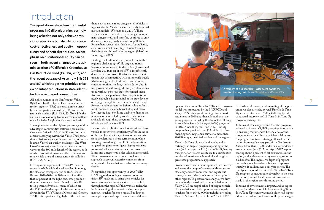7

opment, the current Tune In & Tune Up program model was ramped up by the SJVAPCD and Valley CAN using grant funding from a court settlement in 2010 and then adopted as an on going program funded by the discrict's Polluting Automobile Scrap & Salvage (PASS) program in 2012. Since then, the Tune In & Tune Up program has provided over \$12 million in direct financing for smog repair service to more than 20,000 unique, qualified residents of the region.

Tune In & Tune Up may be the only, and is certainly the largest, program operating in the state (and perhaps the U.S.) that offers light-duty transportation-related assistance to a substantive number of low-income households through a grassroots programmatic approach.

Given its reach and unique approach, we describe and assess the program's success with respect to efficiency and environmental and equity out comes, and consider its relevance for adoption in other regions. To perform this analysis, we draw on previously unanalyzed data provided to us by Valley CAN on neighborhood of origin, vehicle characteristics and redemption of smog repair vouchers for nearly 42,000 households attending Tune In & Tune Up events from 2012 to 2017.

To further inform our understanding of the pro gram, we also attended several Tune In & Tune Up events, interviewed Valley CAN staff, and conducted interviews of 11 Tune In & Tune Up program participants.

In terms of efficiency, we find that the program adhered to its own eligibility requirements strict ly, ensuring that intended beneficiaries of the program were the ultimate recipients. Moreover, the program's outreach strategy effected partici pation from nearly every part of the San Joaquin Valley. More than 40,000 individuals attended an event between July 2012 and April 2017, repre senting about 4 percent of all households in the region, and with every county receiving substan tial benefits. The impressive depth of program outreach was achieved on a budget of approx imately \$16 million over a six-year period. The multiyear, regionwide cost of the Tune In & Tune Up program compares quite favorably to the cost of one-off, limited-location transit investments made in the region over this same period.

The region also has the highest percentage of disadvantaged communities statewide per CalEn viroScreen 3.0, with 20 of the 30 most impacted census tracts lying within the Valley. Transporta tion emissions are a significant contributor to San Joaquin Valley's air quality challenges. The West Coast's two major north-south interstate free ways run the 300-mile length of the region, both of which contribute significantly to the region's total vehicle use and consequently, air pollution (U.S. EPA, 2017a).

> In terms of environmental impact, and as expect ed, we find that the vehicle fleet attending Tune In & Tune Up events was much older, had higher odometer readings, and was less likely to be regis -

## <span id="page-3-0"></span>Introduction

Transportation-related environmental programs in California are increasingly being asked to not only achieve emis sions reductions but also demonstrate cost-effectiveness and equity in oppor tunity and benefit distribution. An em phasis on distributional equity can be seen in both recent changes to the ad ministration of California's Greenhouse Gas Reduction Fund (CalEPA, 2017) and the recent passage of Assembly Bills 398 and 617, which together prioritize crite ria pollutant reductions in state-identi fied disadvantaged communities.

All eight counties in the San Joaquin Valley (SJV) are classified by the Environmental Pro tection Agency (EPA) as nonattainment areas for various particulate matter (PM) and ozone national standards (U.S. EPA, 2017b), while the air basin is one of only two in extreme nonattain ment for federal eight-hour ozone standards.

Driving is more prevalent in the SJV than the state as a whole while the vehicle fleet is among the oldest on average statewide (U.S. Census Bureau, 2010-2014). A 2014 report identified that 50 percent of the light-duty smog produc tion in the state can be attributed to only 10 to 15 percent of vehicles, many of which are the 1999-and-older type of vehicles commonly driven in the SJV (Wheeler, Morris, and Gordon, 2014). This report also highlighted the fact that

there may be many more unregistered vehicles in regions like the Valley than are currently assumed in state models (Wheeler et al., 2014). These vehicles are often unable to pass smog checks, re main unregistered, and therefore continue to emit disproportionately high amounts of pollution. Researchers suspect that this lack of compliance, even from a small percentage of vehicles, nega tively impacts air quality in the region (Mérel and Wimberger, 2012).

Finding viable alternatives to vehicle use in the region is challenging. While targeted transit investments are needed in the region (Karner and London, 2014), most of the SJV is insufficiently dense to envision cost-effective and convenient transit that is competitive with automobile travel. Modernizing the fleet into zero- and near-zero emissions options is a long-term solution, but it has proven difficult to significantly accelerate this trend without generous state or regional incen tives for vehicle purchase. However, there is not nearly enough existing capital at the state level to offer large enough incentives to induce demand for zero- and near-zero-emissions vehicles from most moderate-income households, and many low-income households are unable to finance the purchase of new or lightly used vehicles made available through these programs (DeShazo, Sheldon, and Carson, 2017).

In short, there is limited reach of transit or clean vehicle incentives to significantly affect the scope of the San Joaquin Valley's transportation emis sions problem. As a short-term solution while working toward long-term fleet modernization, targeted programs to mitigate disproportionate sources of vehicle emissions, such as gross pol luting and unregistered older vehicles, are crucial. These programs can serve as a complementary approach to prevent excessive emissions from unrepaired vehicles that are unable to pass smog checks.

Recognizing this opportunity, in 2005 Valley CAN began developing a program to incen tivize SJV residents to bring their vehicles for free emissions testing at a series of events held throughout the region. If their vehicle failed the initial screening, they would receive a compli mentary voucher for smog repair. Building on subsequent years of experimentation and devel -

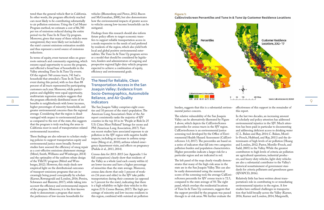9

burden, suggests that this is a substantial environ mental justice concern.

The relative vulnerability of the San Joaquin Valley can be alternatively illustrated by Figure 1 above, which depicts the CalEnviroScreen percentiles for census tracts in the SJV region. CalEnviroScreen is an environmental justice screening tool developed by the Office of Envi ronmental Health Hazard Assessment (CalEnvi roScreen 3.0, 2017). The percentiles are based on a series of indicators that fall into two categories: pollution burden and population characteristics. Higher percentiles indicate a larger risk for a particular region and are indicated in red.

The left panel of the map clearly visually demonstrates that many of the high-risk areas in the state are in the San Joaquin Valley. This can also be easily demonstrated using the numerical scores of the screening tool; the average CalEnvi roScreen percentile for SJV census tracts is 72.5, compared to the state average of 50. The right panel, which overlays the residential locations of Tune In & Tune Up customers, suggests that the support provided by the program was passed through to at-risk areas. We further evaluate the

effectiveness of this support in the remainder of this report.

In the last two decades, an increasing amount of scholarly and policy attention has addressed environmental injustice in the SJV. Much atten tion has been paid in particular to documenting and addressing deficient access to drinking water (C.L. Balazs and Ray, 2014; C. Balazs, Morel lo-Frosch, Hubbard, and Ray, 2011) and the de terminants of high levels of air pollution (Huang and London, 2012; Pastor, Morello-Frosch, and Sadd, 2005) in the Valley. While the greatest contributors to high levels of criteria air pollution are agricultural operations, industrial produc ers, and heavy-duty vehicles, light-duty vehicles are also a substantial contributor to the Valley's historical nonattainment of government stan dards for criteria pollutants and greenhouse gases (SJVAPCD, 2016).

Relatively little has been written about trans portation's role in contributing to or remediating environmental injustice in the region. A few studies have outlined challenges in transporta tion that hold broadly across the Valley (Karner, 2016; Karner and London, 2014; Margonelli,

#### **Figure 1:**

**CalEnviroScreen Percentiles and Tune In & Tune Up Customer Residence Locations**



These findings are also relevant to scholars studying policies to support transportation equity and environmental justice more broadly. Several studies have assessed the efficiency of smog repair as a cost-effective emissions abatement strategy (Mérel, Smith, Williams and Wimberger, 2014) and the optimality of the uniform rebate design of the TI&TU program (Mérel and Wim berger, 2012). However, this study sheds new empirical light on the distributional outcomes of transport-emissions programs that are in creasingly being posed conceptually by scholars (Karner, Rowangould and London, 2016; Pereira, Schwanen and Banister, 2017), while taking into account the efficiency and environmental impacts of the program. Moreover, it is the first-known study to demonstrate a program that meets the preferences of low-income households for

<span id="page-4-0"></span>tered than the general vehicle fleet in California. In other words, the program effectively reached cars most likely to be contributing substantially to air pollution emissions. Using the Carl Moyer Program method, we estimate a cost of \$6,700 per ton of emissions reduced during the entire period via the Tune In & Tune Up program. Moreover, given that many of these vehicles were unregistered, they were likely not included in the state's current emissions estimation models and thus represent a novel source of emissions reductions.

In terms of equity, event turnout relies on grass roots outreach and community organizing, which ensures equal opportunity to access the program, and effected a broad base of households in the Valley attending Tune In & Tune Up events. Of the region's 760 census tracts, 741 had a household that attended a Tune In & Tune Up event during this period, with no less than 88 percent of all tracts represented by participating customers each year. Moreover, while partici pation and eligibility were equal opportunity, multivariate regression analysis suggests that the program effectively distributed more of its benefits to neighborhoods with lower incomes, higher percentages of minority households, and greater environmental concerns than the regional average. Considering that the region is disad vantaged with respect to environmental justice as compared to the rest of the state, this suggests that the program is truly reaching the areas in California most in need of transportation-related environmental incentives.

vehicles (Blumenberg and Pierce, 2012; Bacon and McGranahan, 2008), but also demonstrates how the environmental impacts of greater access to vehicles among low-income households can be mitigated.

Findings from this research should also inform future policy efforts to target economic trans fers to support reliable transportation access in a mode responsive to the needs of and preferred by residents of the region, which also yield both local and global positive environmental exter nalities. The Tune In & Tune Up program serves as a model that should be considered by legisla tors, funders and administrators of ongoing and prospective regional light-duty vehicle programs expected to achieve a combination of equity, efficiency and environmental goals.

#### The Need for Reliable, Clean Transportation Access in the San Joaquin Valley: Evidence From Socio-Demographics, Automobile Reliance, and Air Quality Indicators

The San Joaquin Valley comprises eight coun ties and 10 percent of the state's population. The American Lung Association's State of the Air report consistently ranks the majority of SJV counties in the top 10 in its "People at Risk In 25 U.S. Cities Most Polluted" listings for ozone and PM (American Lung Association, 2017). Vari ous recent studies have associated exposure to air pollution in the SJV region with negative health impacts, including an increase in asthma symp toms (Meng et al., 2010), asthma-related emer gency department visits, and effects on pregnancy (Padula et al., 2013, 2014).

Census data for 2011-2015 (see Appendix 1 for full comparison) clearly show that residents of the Valley as a whole (and each county within it) are lower-income and have a higher percentage of minorities than the state average. Moreover, census data shows that only 1 percent of work ers (16 years and older) in the SJV take public transportation during their commute (as opposed to 5 percent for the state), indicating that there is a high reliability on light-duty vehicles in this region (U.S. Census Bureau, 2017). The high per centage of minority and low-income residents in this region, combined with outsized air pollution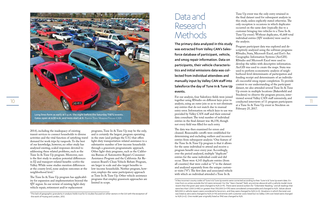## Data and Research **Methods**

The primary data analyzed in this study was extracted from Valley CAN's Salesforce database of participant, vehicle, and smog repair information. Data on participants, their vehicle characteristics and initial emissions data was collected from individual attendees and manually input by Valley CAN staff into Salesforce the day of Tune In & Tune Up events.

For our analysis, four Salesforce fields were joined together using RStudio on different keys prior to analysis, using an outer join so as to not eliminate any entries that do not match due to manual entry error. Information on which keys to use was provided by Valley CAN staff and their external data consultant. The total number of individual entries in the final dataset was 46,158, though not every field was filled for each entry.

The data was then examined for errors and cleaned. Reasonable cutoffs were established for determining and excluding outliers and incorrect entries from subsequent analysis.2 One feature of the Tune In & Tune Up program is that it allows for the same individual to attend and receive a program benefit once every year. Accordingly, over the period analyzed, multiple "duplicate" entries for the same individual could and did occur. There were 4,143 duplicate entries (from all counties) that were coded as "1" in the dataset and analyzed separately from the unique customer visits ("0"). The first date and associated vehicle with which an individual attended a Tune In &

Tune Up event was the only entry retained in the final dataset used for subsequent analysis in this study, unless explicitly stated otherwise. The only exception is occasions in which duplicates occurred on the same date (typically due to a customer bringing two vehicles to a Tune In & Tune Up event). Without duplicates, 41,668 total individual entries (SJV residents) were used in the analysis.

<span id="page-5-0"></span>

Gates open at 6:30 a.m. and tests start at 8. Photo: Tony Moreno/VALLEY CAN

Program participant data was explored and descriptively analyzed using the software programs RStudio, Stata, Microsoft Excel, and Esri's Arc Geographic Information Systems (ArcGIS). RStudio and Microsoft Excel were used to develop the tables with descriptive information. ArcGIS was used to create the maps. Stata was used to perform econometric analysis of neighborhood-level determinants of participation and funding receipt and determinants of an individual's successful smog repair completion. To provide context to our understanding of the participant dataset, we also attended several Tune In & Tune Up events in multiple locations (Bakersfield and Stockton) to observe the program process, interviewed several Valley CAN staff extensively, and at a Tune In & Tune Up event in Stockton on February 25, 2017.

2014), including the inadequacy of existing transit services to connect households to diverse activities and the vital function of satisfying travel demand for work trips by vanpools. To the best of our knowledge, however, no other study has analyzed existing, scaled responses devoted to addressing these related problems, such as the Tune In & Tune Up program. Moreover, ours is the first study to analyze potential differences in EJ and transport-related benefits *within* the Valley. While some studies mention differences at the county level, none analyze outcomes at the neighborhood level.<sup>1</sup>

The Tune In & Tune Up program has applicability for expansion and implementation beyond the SJV region. In our review of existing light-duty vehicle repair, retirement and/or replacement

programs, Tune In & Tune Up may be the only, and is certainly the largest, program operating in the state (and perhaps the U.S.) that offers light-duty transportation-related assistance to a substantive number of low-income households through a grassroots programmatic approach. Other light-duty programs, such as the California Bureau of Automotive Repair's Consumer Assistance Program and the California Air Resources Board's Clean Vehicle Rebate Program, are larger in scale and also target benefits to low-income households. Neither program, however, employs the same participatory approach as Tune In & Tune Up. Other vehicle assistance programs that employ grassroots approaches are limited in scope.

<sup>&</sup>lt;sup>2</sup>A few incorrect county codes of Tune In & Tune Up events were corrected according to their Tune In & Tune Up event date. Entries from co unties outside the SJV were removed. For the "Years Owned" field, any entries above 65 with a vehicle model more recent than the given year were changed to N/A (n=9). There were several outliers for "Odometer Reading," and all readings that were less than 1,000 (n=80) or greater than 700,000 (n=179) were considered unreasonable and changed to N/A. Values above \$20,000 in vehicle repairs were considered to be errors, and they were changed to N/A (n=3). Situations in which the total cost was listed as zero were changed to N/A (n=14) and entries with customer costs listed but no Valley CAN cost listed were changed to N/A (n=2). One model year originally listed as 1942 was changed to N/A.

<sup>&</sup>lt;sup>1</sup>This lack of geographic granularity in analysis holds true for EJ studies focused on other sectors in the SJV with the exception of the work of Huang and London, 2012.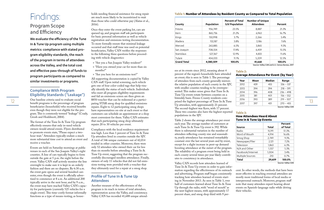ees at its events since 2012, meaning about 4 percent of the region's households have attended an event; this is seen in Table 1. The percentage of attendees from each county generally mirrors the relative population of each county in the SJV, with smaller counties tending to be overrepresented. This makes sense given that Tune In & Tune Up events rotate between counties on a biweekly basis. Fresno County residents com-Up attendees, with approximately 21 percent. The second-highest was Kern, with 17 percent. These two counties also have the highest reported populations in the SJV.

Table 2 shows the average attendance per event each year. The average number of customers at each Tune In & Tune Up event is 392. While there is substantial variation in the number of attendees reflecting county size and seasonality, yearly attendance has remained remarkably constant over the last several years and by event, except for a slight increase in pent-up demand boosting attendance at the outset of the program. The reliability of a program event being held in each county several times per year likely contributes to consistency in attendance.

Valley CAN records how attendees learned of Tune In & Tune Up events in order to gain information regarding the effectiveness of its outreach and advertising. Program staff began consistently tracking how attendees learned of events starting in November 2013. As seen in Table 3, over half of customers learned about Tune In & Tune Up through the radio, with "word of mouth" as the next highest means, with approximately 17 percent share, and smog shop third with 9 per-

cent. In other words, the methods that have been most effective in reaching eventual attendees are mostly more traditional forms of local media or interpersonal outreach. Moreover, program staff note that many attendees report hearing about events on Spanish-language radio while driving their vehicles.

#### **Table 2:**

#### **Average Attendance Per Event (by Year)**

| Year | Mean | Median | Range       |
|------|------|--------|-------------|
| 2012 | 439  | 455    | $336 - 537$ |
| 2013 | 394  | 394    | $218 - 591$ |
| 2014 | 396  | 408    | $236 - 498$ |
| 2015 | 381  | 401    | $156 - 552$ |
| 2016 | 390  | 389    | $219 - 507$ |
| 2017 | 397  | 431    | $270 - 455$ |
|      |      |        |             |

Source: Valley CAN

## <span id="page-6-0"></span>Findings:

### Program Scope and Efficiency

We evaluate the efficiency of the Tune In & Tune Up program using multiple metrics: compliance with stated program eligibility standards, the reach of the program in terms of attendees across the Valley, and the total cost and effective pass-through of funds to program participants as compared to similar investments or programs.

#### Compliance With Program Eligibility Standards ("Leakage")

One baseline criteria used to evaluate social 8850 voucher that can be redeemed at a partici-<br>
prised the highest percentage of Tune In & Tune In & Tune 10 & Tune 10 & Tune 10 & Tune 10 & Tune 10 & Tune 1<br>
2016 2017 2017 2 All supporting documentation is copied by Valley CAN staff. Upon initial screening, each vehicle gets one of four color-coded tags that help visually identify the status of each vehicle. Individuals who meet all program eligibility requirements and fail an emissions screen are then given an \$850 voucher that can be redeemed at a participating STAR smog shop for qualified emissions repairs. Eight to 12 participating smog shops have representatives on-site at each event so that customers can schedule an appointment at a shop most convenient for them. Valley CAN estimates that each participating smog shop ultimately repairs 20 to 30 vehicles per event.

One baseline criteria used to evaluate social benefit programs is the percentage of program beneficiaries (households) who received benefits even though they were not eligible for the program. This is commonly termed "leakage" (Coady, Grosh and Hoddinott, 2004).

The format of the Tune In & Tune Up program effectively ensures that only in-need vehicle owners would attend events. Flyers distributed to promote events state, "Please expect a twohour wait." Attendees typically endure a much more substantial time cost to attend an event and receive a voucher.

Events are held on Saturday mornings at public venues in each of the San Joaquin Valley's eight counties. A line of cars typically begins to form outside the gate at 5 p.m. the night before the event. Valley CAN staff actively monitor the line overnight to make sure it is kept in an orderly fashion and there are no disputes. By 6:30 a.m. the event gate opens and several hundred cars enter, even though the event is officially advertised to commence at 8 a.m. An additional 200 typically arrive in the next hour, and by 9 a.m., the event may have reached Valley CAN's capacity for participants (currently 525 vehicles for a single event). This time-costly format informally functions as a type of means-testing, as households needing financial assistance for smog repair are much more likely to be incentivized to wait than those who could otherwise pay (Alatas et al., 2016).

Once they enter the event parking lot, cars are queued up, and program staff ask participants for basic personal information as well as vehicle registration and emissions testing documentation. To more formally ensure that minimal leakage occurred and that staff time was used on potential beneficiaries, Valley CAN verifies the responses to the following three questions before proceeding with vehicle diagnostics:

- » "Are you a San Joaquin Valley resident?"
- » "Have you owned your car for more than six months?"
- » "Are you here for an emissions test?"

Compliance with the local residence requirement was high. Less than 1 percent of Tune In & Tune Up attendees lived in counties outside the SJV. A total of 346 unique customers out of 42,014 resided in other counties. Moreover, there were only 52 attendees who owned their car for less than six months before attending a Tune In & Tune Up event, suggesting that the program successfully discouraged needless attendance. Finally, owners of only 11 vehicles that did not fail emissions testing were provided with a voucher that they ultimately used for a repair at a smog shop.

#### Profile of Tune In & Tune Up Attendees

Another measure of the effectiveness of the program is its reach in terms of total attendees, representation across the Valley, and consistency. Valley CAN has recorded 41,688 unique attend-

#### **Table 1: Number of Attendees by Resident County as Compared to Total Population**

| Population | <b>Percent of Total</b><br><b>SJV Population</b> | <b>Number of Unique</b><br><b>Attendees</b> | Percent |
|------------|--------------------------------------------------|---------------------------------------------|---------|
| 956,749    | 23.5%                                            | 8,887                                       | 21.3%   |
| 865,736    | 21.2%                                            | 6,963                                       | 16.7%   |
| 150,998    | 3.7%                                             | 2,266                                       | 5.4%    |
| 153,187    | 3.8%                                             | 3,186                                       | 7.6%    |
| 263,885    | 6.5%                                             | 3,865                                       | 9.3%    |
| 708,554    | 17.4%                                            | 6,459                                       | 15.5%   |
| 527,367    | 12.9%                                            | 4,833                                       | 11.6%   |
| 454,033    | 11.1%                                            | 5,209                                       | 12.5%   |
| 4,080,509  | 100.0%                                           | 41,668                                      | 100.0%  |
|            |                                                  |                                             |         |

#### **Table 3:**

#### **How Attendees Heard About Tune In & Tune Up Events**

|                   |              | Percent            |
|-------------------|--------------|--------------------|
| Source            | <b>Total</b> | of Total           |
| Radio             | 15,191       | 51.3%              |
| Word of Mouth     | 4,914        | 16.6%              |
| Smog Shop         | 2,749        | 9.3%               |
| Newspaper/Flier   | 2,121        | 7.2%               |
| Television        | 1,863        | 6.3%               |
| N/A and Other     | 1,557        | 5.3%               |
| Facebook/Internet | 1,004        | 3.4%               |
| Multiple Sources  | 210          | 0.7%               |
| <b>Total</b>      | 29,609       | 100.0%             |
|                   |              | Source: Valley CAN |

Source: Valley CAN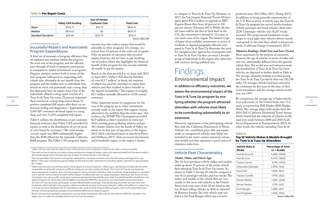to compare to Tune In & Tune Up. However, in 2017, the San Joaquin Regional Transit District spent about \$10.2 million to upgrade its BRT Express Route fleet from 44 percent to 100 percent electric (Descant, 2017). While all-electric buses will be the first of their kind in the U.S., this investment is limited to 12 routes in one metro area of the region. The limited scope of hyper-clean mobility investments in terms of residents or regional geography affected compared to Tune In & Tune Up illustrates the need for complementary approaches of programs such as Tune In & Tune Up that can reach a broader group of individuals in the region who otherwise will continue driving polluted cars.

14 15 and the United States was 11.6<br>Their voucher at a smog shop, and of those, 87 Other important points of comparison for the **the program attracted** (cars and trucks) in the United States was 11.6 15 In addition to efficiency outcomes, we assess the environmental impact of the Tune In & Tune Up program by anaattendees with vehicles most likely to be contributing substantially to air emissions.

### Findings: Environmental Impact

Moreover, registration of the participating vehicle fleet with the California Department of Motor Vehicles was considered, given that any repairs made on unregistered vehicles were likely not included in the state's current emissions estimation models and thus represent a novel source of emissions reductions.

#### Vehicle Fleet Characteristics

#### *Models, Makes, and Vehicle Type*

The 10 most prevalent vehicle makes and models make up about 25 percent of the entire vehicle fleet attending Tune In & Tune Up events. As shown in Table 5, the top 10 vehicles comprise a mix of six passenger vehicles and four trucks. The makes and models of the vehicle fleet are very similar to the most sold vehicles in the United States each year; nine of the 10 are listed in the top 20 best-selling vehicles in 2016 as reported by Business Insider. The only vehicle type not listed is the Ford Ranger, which has not been

produced since 2012 (Max, 2011; Zhang, 2017). In addition to being generally representative of the U.S. fleet in terms of vehicle type, the Tune In & Tune Up program has served similar numbers of both passenger and truck vehicles; there were 22,813 passenger vehicles and 18,257 trucks reported. This proportional breakdown of passenger to truck light-duty vehicles almost exactly corresponds to the state fleet, which is 44 percent trucks (California Energy Commission, 2017).

*Odometer Readings, Model Year, and Years Owned* More important for the purpose of emissions, however, the age of vehicles in terms of miles and year was substantially different from the general vehicle fleet. The model year and odometer reading distributions of Tune In & Tune Up event vehicles are depicted in further detail in Table 6. The average odometer reading recorded among the Tune In & Tune Up vehicle fleet was 182,188 miles. On average, vehicles had been owned by the customers for five years at the time of their event attendance, and the average vehicle model year was 1997.

By comparison, the average age of light vehicles (cars and trucks) in the United States was 11.6 years, as reported by IHS Markit (IHS Markit, 2016). This average aligns with results from the 2010-2013 California Household Travel Survey, which found that the majority of vehicles on the road were made between 2000 and 2010 (California Department of Transportation, 2013). In other words, the vehicles attending Tune In &

#### **Table 5:**

#### **Top 10 Vehicle Makes & Models Brought by Tune In & Tune Up Attendees**

| Vehicle Make &<br>Model | <b>Percentage of Total</b><br>$(n = 41,668)$ |
|-------------------------|----------------------------------------------|
| Honda Accord            | 5.68% (2368)                                 |
| Honda Civic             | 4.47% (1862)                                 |
| Toyota Camry            | 3.13% (1303)                                 |
| Chevrolet Silverado     | 2.29% (953)                                  |
| Ford F150               | 1.98% (827)                                  |
| Toyota Corolla          | 1.97% (822)                                  |
| Nissan Altima           | 1.56% (648)                                  |
| Nissan Sentra           | $1.51\%$ (631)                               |
| Ford Ranger             | 1.48% (617)                                  |
| Ford Explorer           | 1.42% (590)                                  |
|                         | Source: Valley CAN                           |

### Successful Repairs and Associated Program Expenditures

A final set of measures of program efficiency that we explored was attrition within the program, the total cost of the program, and the effective pass-through of funds to program participants as compared to similar investments or programs. Program attrition matters both in terms of the time program staff spend on supporting individuals who ultimately do not benefit from the program and the welfare loss to individuals who attend an event and potentially visit a smog shop but ultimately have no repairs done. Out of the individuals offered a smog repair voucher at a Tune In & Tune Up event, 78 percent redeemed their voucher at a smog shop, and of those, 87 percent completed full repairs after their car underwent testing and diagnostics.3 Approximately 3,450 SJV customers declined repair at a smog shop, and over 17,250 completed full repairs.

Table 4 outlines the distribution of per-customer financial assistance that Valley CAN provided for repairs, as well as the distribution of out-of-pocket costs borne by customers.4 The total average cost per repair was \$800, substantially higher than the \$500 offered by the statewide California BAR program. The Valley CAN program's higher

amount may thus induce repairs that would be infeasible in other programs. On average, customers bore 12 percent of the total cost of repairs. Fifty-six percent of customers who received repairs, however, did not have to pay anything out of pocket, which also highlights the financial benefit of this program for low-income individuals unable to pay for repairs.

Based on the data provided to us, from mid-2012 to April 2017, Valley CAN directly distributed over \$12.7 million<sup>5</sup> in funds, the majority of which was used by customers to repair their vehicles and thus resulted in direct benefits to the region's households.6 This equates to roughly \$2.7 million annually allocated to 4,500 annual customers.

Other important points of comparison for the cost of the program are to other investments recently made in the region that support cleaner alternatives for mobility than the status quo.7 For instance, the EFMP Plus Up program provided \$2.9 million in direct incentives to retire residents' existing gross-polluting vehicles and get 361 cleaner vehicles into the hands of Valley residents in its first year of operation in the region, 2015-2016 (calculated based on data from Pierce and DeShazo, 2017). Data on transit investments and households' impact in the region is harder

<span id="page-7-0"></span>

|                           | <b>Valley CAN Funding</b> | Out-of-Pocket<br><b>Customer Cost</b> | <b>Total Cost</b> |
|---------------------------|---------------------------|---------------------------------------|-------------------|
| Mean                      | \$704.71                  | \$95.70                               | \$800.41          |
| Median                    | \$824.62                  | \$0                                   | \$829.70          |
| <b>Standard Deviation</b> | \$251.46                  | \$222.19                              | \$374.17          |

Source: Valley CAN

<sup>&</sup>lt;sup>5</sup> The average Valley CAN cost from all voucher redemptions, including customers who only did testing and diagnostics, was \$614.51. That value multiplied by approximately 20,700 total voucher redemptions (including repeat customers) is approximately \$12.7 million.

 $^7$  We do not know the overhead or operations costs for these investments, although we note that the EFMP Plus-Up pilot in the region was run under the umbrella of the Tune In & Tune Up program.

<sup>4</sup> The total number of entries included in these calculations includes all repeat visitors who were excluded from the above analysis. We include repeat visitors because the cost of repair for those vehicles is still relevant.

<sup>6</sup> Valley CAN estimates its overhead rate for the program at around 25 percent. Obtaining or calculating overhead rates for other comparable social benefit programs is difficult as they are not often readily disclosed. The Tune In & Tune Up overhead rate seems appropriate, however, given that the program involves multiple verification steps and places a large emphasis on outreach and in-person communication at events, which allows it to effectively reach its target population. Moreover, the Tune In & Tune Up program not only provides smog repair assistance but also links households up to other household benefit and pollution-mitigation programs for which they may be eligible, including the EFMP Plus-Up and low-cost automobile insurance programs. At Tune In & Tune Up events, participants are also offered health screenings, financial advising, and other services from local businesses, which highlights the program's ability to build and maintain community networks. Valley CAN staff aim to make Tune In & Tune Up events potential hubs for attendees to sign up for a whole range of other programs, which will substantially lower the cost of existing duplicate outreach and enrollment efforts across these programs.

 $^3\,$  Valley CAN has examined the determinants of this attrition and is working on reducing this rate as much as possible.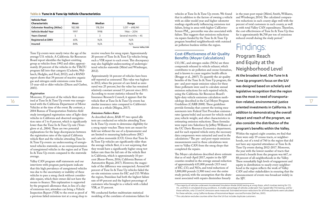vehicles at Tune In & Tune Up events. We found that in addition to the factors of owning a vehicle with an older model year and higher odometer readings significantly influencing emissions test failure, living in areas with higher CalEnviro-Screen  $PM_{25}$  percentiles was also associated with failure. This suggests that emissions reductions via repairs funded by the Tune In & Tune Up program benefited neighborhoods with outsized air pollution burdens within the region.

#### Cost-Effectiveness of Air Quality Benefits (Moyer Calculations)

16 11 and at Tune In & Tune Up events was unregis-<br>
17 and 2014 at Tune In Section 2014 and the Carl Moyer Program **tion-related, environmental-justice** 17 CO, HC, and nitrogen oxides (NOx) are three compounds released in vehicle exhaust, which contributes to air pollution and ozone formation, and is known to cause negative health effects (Brugge et al., 2007). To quantify the air quality benefits of the Tune In & Tune Up program, the pre- and post-repair emission values for these three pollutants were used to calculate annual emission reductions for each repaired vehicle, using the California Air Resources Board's light-duty vehicle emissions calculation methodology described in the Carl Moyer Program Guidelines (CARB 2008). These guidelines provide formulas that convert the testing measurements into Federal Test Procedure emission rates (grams/mile) and account for vehicle model year, vehicle weight, and other characteristics in estimating emission reductions. These formulas were input into Salesforce by Jeffrey Williams of the UC Davis Resource Economics department, and for each repaired vehicle entry, the necessary data components were extracted and used in the calculations.8 The pre- and post-repair emission measurements used in these calculations were sent to Valley CAN from the smog shops that completed the repairs.

in the years post-repair (Mérel, Smith, Williams, and Wimberger, 2014). The calculated comparative reductions in each county align well with the percent of total customers in each county, as well as with total Valley CAN expenditures. Therefore, the cost-effectiveness of Tune In & Tune Up thus far is approximately \$6,700 per ton of emissions reduced overall during the study period.<sup>9</sup>

The Moyer calculations described above estimate that as of mid-April 2017, repairs in the SJV counties resulted in the average annual reduction of approximately 635,000 pounds (315 tons) of HC, CO, and NOx, and total reductions of 3,800,000 pounds (1,900 tons) over the entire study period, with the assumption that the abatement associated with repairs diminishes linearly

## Findings:

### Program Reach and Equity at the Neighborhood Level

At the broadest level, the Tune In & Tune Up program's focus on the SJV was designed based on scholarly and legislative recognition that the region was the most in need of transportation-related, environmental-justice oriented investments in California. In addition to demonstrating the overall impact and reach of the program, we also consider the distribution of the program's benefits within the Valley.

Within the region's eight counties, we find that there were only 19 census tracts, or neighborhoods, out of a total of 760 in the region that did not have any reported attendance at Tune In & Tune Up events during 2012-2017. Moreover, the year with the lowest number of tracts that received a benefit from the program was 667, or 88 percent of all neighborhoods in the Valley. These remarkably high levels of engagement and equity in distribution to nearly every neighborhood in the region reflects the work of Valley CAN and other stakeholders in ensuring that the announcement of events was broadcast widely in the SJV.

Tune Up events were nearly twice the age of the average U.S. vehicle. A California Air Resources Board report identifies the highest-emitting group as vehicles from 1992 and older; approximately 20 percent of the vehicles in the TI&TU program fall into that category (Cackette, Wallauch, Hedglin, and Ford, 2012); and a RAND report shows that 39 percent of reactive organic gas and nitrogen oxide emissions come from 15-year-old or older vehicles (Dixon and Garber, 2001).

#### *Registration*

Moreover, 35 percent of the vehicle fleet examtered with the California Department of Motor Vehicles at the time of the event. By contrast, a 2004 Bureau of Transportation Statistics field study investigated registration rates of light-duty vehicles in California and observed unregistration rates of 3 to 8 percent, which is significantly lower than the Tune In & Tune Up rate (Younglove et al., 2004). There are two potential explanations for the large discrepancies between the registration rates of the typical California vehicle fleet and the vehicles attending Tune In & Tune Up events: an undercounting of unregistered vehicles statewide, or an overrepresentation of unregistered vehicles in the region and at Tune In & Tune Up events compared to the statewide average.

Valley CAN program staff statements and our interviews with program participants indicate that this high prevalence of unregistered vehicles was due to the uncertainty or inability of these vehicles to pass a smog check without considerable repairs, which their owner did not have the means to finance. This explanation is supported by the program's allowance that, in lieu of a dayof emissions test, attendees can bring a Vehicle Inspection Report (VIR) to the event as proof of a previous failed emissions test at a smog shop to receive vouchers for smog repair. Approximately 20 percent of Tune In & Tune Up vehicles bring such a VIR report to each event. This discrepancy may also highlight undercounting of underregistered vehicles statewide (Mérel and Wimberger, 2012).

Approximately 16 percent of vehicles have been self-reported as uninsured. This value was highest in 2012, when the percent of cars listed as uninsured was 25 percent, but the value has remained relatively constant around 15 percent since 2013. According to recent statistics released by the Insurance Research Council, it appears that the vehicle fleet at Tune In & Tune Up events has similar insurance rates compared to California's drivers as a whole (Megna, 2017).

#### *Emissions Failure Rates*

As described above, BAR-97 two-speed idle tests are conducted on vehicles attending Tune In & Tune Up events to determine eligibility for a smog repair voucher. These tests are meant for field use without the use of a dynamometer and are limited to measuring hydrocarbons (HC) and carbon monoxide (CO). Given that Tune In & Tune Up vehicles are significantly older than the average vehicle fleet, it is not surprising that they would have a significantly higher smog test failure rate than the fail rate of the vehicle fleet in California, which is approximately 10 percent (Reese-Preese, 2016; California Bureau of Automotive Repair, 2017). However, the magnitude of the difference was unexpected. Around 60 percent of Tune In & Tune Up vehicles failed the on-site emissions screen for HC and CO. Within the region, Stanislaus had both the highest failure rate of 69 percent and the highest percentage of customers who brought in a vehicle with a failed VIR, at 35 percent.

We conducted further multivariate statistical modeling of the correlates of emissions failure for

#### <span id="page-8-0"></span>**Table 6: Tune In & Tune Up Vehicle Characteristics**

| <b>Vehicle Fleet</b><br>Characteristic | Mean    | Median  | Range                                                   |
|----------------------------------------|---------|---------|---------------------------------------------------------|
| <b>Odometer Reading (Miles)</b>        | 182,188 | 178,354 | $1,017 - 698,941$                                       |
| Vehicle Model Year                     | 1997    | 1998    | $1966 - 2014$                                           |
| <b>Years Owned</b>                     | 5       | 3       | Several months $-45$                                    |
| Registered at DMV                      | 65%     | N/A     | N/A                                                     |
| Insured                                | 84%     | N/A     | N/A<br>$\sim$ $\sim$ $\sim$ $\sim$ $\sim$ $\sim$ $\sim$ |

Source: Valley CAN

<sup>&</sup>lt;sup>8</sup> The majority of vehicles underwent Accelerated Simulation Mode (ASM) testing at smog shops, which involves testing for CO, HC, and NOx in simulated driving conditions. A smaller percentage of vehicles underwent Two-Speed Idle (TSI) testing, and for those vehicles, only CO and HC emissions were measured. Estimated emission reductions for all three pollutants were calculated for these vehicles, using California Bureau of Automotive Repair-sourced formulas (DeFries, 2001).

 $9$  This calculation excludes counties other than the SJV but includes duplicate customers.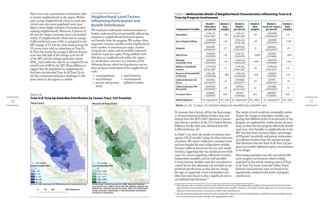To measure these factors, all but the final category of environmental pollution burden data were derived from the 2011-2015 American Community Survey, a product of the U.S. Census Bureau. Pollution burden data were obtained from the CalEnviroScreen 3.0.

In Table 7, we show the results of ordinary least squares  $(OLS)$  models<sup>10</sup> using the three outcomes of interest. We report coefficients, standard errors and beta weights for each independent variable. Variance inflation factors are low for each model iteration, suggesting that our models present little cause for concern regarding collinearity between independent variables, and are well specified. County dummy variables were also considered as control factors but ultimately not included in our preferred specifications as they did not change the sign or magnitude of any independent variables that were found to play a significant role in our preferred specifications.<sup>11</sup> of Hispanic households and greater environmental pollution burdens than the regional average. This illustrates that the Tune In & Tune Up program successfully addressed equity considerations in its design. Decreasing population was also associated with more program involvement, which is likely explained by the strictly rotating nature of Tune In & Tune Up events across the Valley. Travel behavior characteristics were not found to be significantly correlated with levels of program involvement.

The results of each model are remarkably similar despite the change in dependent variable, suggesting that different levels of involvement in the program are explained by similar factors. In summary, we find that the program effectively distributed more of its benefits to neighborhoods in the SJV that had lower incomes, higher percentages

There was some concentration of attendees within certain neighborhoods in the region. Within each county, neighborhoods closer to event sites (which were also more populated) were more likely to have higher numbers of attendees than outlying neighborhoods. Moreover, 9 percent of all visits by unique customers were concentrated within 15 neighborhoods, which had an average CalEnviroScreen score of 86, as compared to the SJV average of 72. On the other hand, among the 19 census tracts with no attendance at Tune In & Tune Up events, the average CalEnviroScreen score was only half of the average score for all of the SJV, and the average particulate matter  $(PM_{2.5})$  percentile was only 41, as compared to an overall score of 89 for the SJV. These differences suggest that the population in neighborhoods that have not attended Tune In & Tune Up do not face environmental justice challenges to the same extent as the region as a whole.

<span id="page-9-0"></span>

| each county, neighborhoods closer to event sites<br>(which were also more populated) were more<br>likely to have higher numbers of attendees than | Influencing Participation and<br><b>Benefit Distribution</b><br>We employed multivariate statistical analysis to | <b>Independent Variable</b>         | Model 1:<br><b>Attendees</b><br>per person | Model 1:<br>beta<br>weights | Model 2:<br><b>Repairs</b><br>per person | Model 2:<br>beta<br>weights | Model 3:<br><b>Funds for repairs</b><br>per person | Model 3:<br>beta<br>weights |
|---------------------------------------------------------------------------------------------------------------------------------------------------|------------------------------------------------------------------------------------------------------------------|-------------------------------------|--------------------------------------------|-----------------------------|------------------------------------------|-----------------------------|----------------------------------------------------|-----------------------------|
| outlying neighborhoods. Moreover, 9 percent of<br>all visits by unique customers were concentrated                                                | further understand factors potentially influencing<br>variation in neighborhood-level participation              | Population                          | $-2.53e-07$<br>$(9.16e-08)$ **             | $-.08$                      | $-1.43e-07$<br>$(4.29e-08)$ **           | $-10$                       | $-0000983$<br>$(.0000306)^{**}$                    | $-10$                       |
| within 15 neighborhoods, which had an average<br>CalEnviroScreen score of 86, as compared to the                                                  | and benefits from the program. We analyze three<br>important outcome variables at the neighborhood               | Non-Hispanic White                  | $-.0000467$<br>$(.0000162)$ **             | $-0.09$                     | $-5.92e-06$<br>$(7.56e-06)$              | $-.03$                      | $-0.0013959$<br>(.0053999)                         | $-.009$                     |
| SJV average of 72. On the other hand, among the<br>19 census tracts with no attendance at Tune In                                                 | level: number of attendees per capita, number<br>of repairs per capita, and successfully redeemed                | Hispanic                            | .000098<br>$(.0000156)$ **                 | .27                         | .0000354<br>$(7.32e-06)$ **              | .21                         | .0246967<br>$(.0052254)$ **                        | .21                         |
| & Tune Up events, the average CalEnviroScreen<br>score was only half of the average score for all                                                 | funds for repair per capita. Using publicly avail-<br>able data on neighborhoods within the region,              | Solo Driver                         | $-.0000161$<br>(.000034)                   | $-.02$                      | 3.75e-07<br>(.0000159)                   | .0009                       | .0012233<br>(.0113686)                             | .004                        |
| of the SJV, and the average particulate matter<br>$(PM_{25})$ percentile was only 41, as compared to an                                           | we model these outcomes as a function of the<br>following factors, which we hypothesize may ex-                  | Average<br><b>Commute Time</b>      | $-.0000342$<br>(.0000447)                  | $-.02$                      | $-5.40e-06$<br>(.0000209)                | $-.008$                     | $-.0027487$<br>(.0149469)                          | $-0.006$                    |
| overall score of 89 for the SJV. These differences<br>suggest that the population in neighborhoods                                                | plain program involvement at the neighborhood                                                                    | Median Household<br>Income          | $-6.711e-08$<br>$(2.14e-08)$ **            | $-.17$                      | $-3.19e-08$<br>$(1.00e-08)$ **           | $-18$                       | $-.0000239$<br>$(7.15e-06)$ **                     | $-19$                       |
| that have not attended Tune In & Tune Up do<br>not face environmental justice challenges to the                                                   | scale:<br>» travel behavior<br>» total population                                                                | Percent of Households<br>in Poverty | 3.50e-06<br>(.0000338)                     | .006                        | $-1.39e-06$<br>(.0000158)                | $-.005$                     | $-.008274$<br>(.0112931)                           | $-.04$                      |
| same extent as the region as a whole.<br><b>Figure 2:</b>                                                                                         | » race/ethnicity<br>» environmental<br>pollution burden<br>» income and poverty                                  | CalEnviroScreen 3.0<br>Score        | .0001016<br>$(.0000251)$ **                | .19                         | .0000681<br>$(.0000117)$ **              | .27                         | .0511195<br>$(.0083718)$ **                        | .29                         |
|                                                                                                                                                   | levels                                                                                                           | CalEnviroScreen PM<br>Percentile    | .0000429<br>$(.0000143)$ **                | .10                         | .000023<br>$(6.67e-06)$ **               | .12                         | .0162888<br>$(.0047618)$ **                        | .12                         |
|                                                                                                                                                   |                                                                                                                  | <b>Constant Term</b>                | .0076819<br>$(.0039176)^*$                 | N/A                         | .0011811<br>(.0018326)                   | N/A                         | .5803907<br>(1.308596)                             | N/A                         |
| Tune In & Tune Up Attendee Distribution by Census Tract, SJV Counties                                                                             |                                                                                                                  | <b>Model Statistics</b>             | $N =$ , Adjusted $R^2$                     | .405<br>751,                | N=, Adjusted $R^2$   751, .3905          |                             | N=, Adjusted $R^2$                                 | 751, .3732                  |

#### Neighborhood-Level Factors Influencing Participation and Benefit Distribution

- » total population
- » travel behavior
- » race/ethnicity » income and poverty levels
- » environmental pollution burden
- 

#### **Figure 2:**

#### **Tune In & Tune Up Attendee Distribution by Census Tract, SJV Counties**



 $\Omega$ 50 100 200 Kilometers

Total Count **Percent of Population** 



Sources: CalEnviroScreen 3.0, OEHHA American Community Survey Service Layer Credits: Sources: Esri, HERE, DeLorme, Intermap, Increment P Corp., GEBCO, USGS, FAO, NPS, NRCAN, GeoBase, IGN, Kadaster NL, Ordnance Survey, Esri Japan, METI, Esri China (Hong Kong), swisstopo, MapmyIndia, © OpenStreetMap contributors, and GIS User Community

**Table 7: Multivariate Model of Neighborhood Characteristics Influencing Tune In & Tune Up Program Involvement**

*Notes: \* p < .05. \*\*p-value < .01. Omitted category for race/ethnicity is all other race.* 

 $10$  Alternatively, we ran versions of each model with the natural log of the dependent variable as the outcome of interest to best approximate a normal distribution (results available upon request). However, the results of each regression do not vary substantially from the linear versions, and we thus prefer linear specifications.

<sup>&</sup>lt;sup>11</sup> We also explored potential temporal trends in explanatory factors by running separate year models but also remarkably consistent across time as no major changes from aggregated model.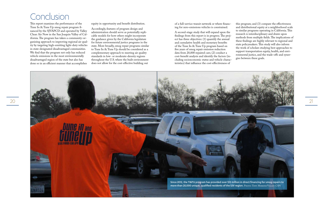## <span id="page-10-0"></span>Conclusion

This report examines the performance of the Tune In & Tune Up smog repair program financed by the SJVAPCD and operated by Valley Clean Air Now in the San Joaquin Valley of California. The program has taken a community-organizing approach to improving regional air quality by targeting high-emitting light-duty vehicles in state-designated disadvantaged communities. We find that the program not only has reduced vehicle emissions in the most environmentally disadvantaged region of the state but also has done so in an efficient manner that accomplishes

equity in opportunity and benefit distribution.

Accordingly, features of program design and administration should serve as potentially replicable models for how others might incorporate the guidance given by the California legislature for future environmental justice programs in the state. More broadly, smog repair programs similar to Tune In & Tune Up should be considered as a complementary approach to meeting air quality standards in low- or moderate-density regions throughout the U.S. where the built environment does not allow for the cost-effective building out

of a full-service transit network or where financing for zero-emissions vehicles is constrained.



A second-stage study that will expand upon the findings from this report is in progress. The project has three objectives: (1) quantify the annual and cumulative health and monetary benefits of the Tune In & Tune Up program based on five years of smog repair emission reduction data from 20,000 repaired cars; (2) conduct a cost-benefit analysis and identify the factors (including socioeconomic status and vehicle characteristics) that influence the cost-effectiveness of

this program; and (3) compare the effectiveness and distributional equity at a neighborhood scale to similar programs operating in California. This research is interdisciplinary and draws upon methods from multiple fields. The implications of these findings are highly relevant to regional and state policymakers. This study will also inform the work of scholars studying best approaches to support transportation equity, health, and environmental justice, and the trade-offs and synergies between these goals.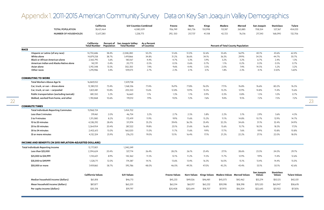### <span id="page-11-0"></span>Appendix 1. 2011-2015 American Community Survey Data on Key San Joaquin Valley Demographics

| 1,228,773<br>257,737<br>217,343<br>132,706<br><b>NUMBER OF HOUSEHOLDS</b><br>12,617,280<br>292, 550<br>41,108<br>42,723<br>76,516<br>168,090<br>California:<br><b>Percent of</b><br>San Joaquin Valley:<br>As a Percent<br><b>Percent of Total County Population</b><br><b>Total Number</b><br>Population<br>of Counties<br><b>Total Number</b><br><b>RACE</b><br>Hispanic or Latino (of any race)<br>38.4%<br>2,048,280<br>50.2%<br>51.6%<br>51.0%<br>52.6%<br>55.6%<br>40.1%<br>43.6%<br>62.4%<br>14,750,686<br>56.9%<br>White alone<br>14,879,258<br>34.8%<br>31.2%<br>36.6%<br>29.9%<br>34.3%<br>44.7%<br>30.7%<br>38.7%<br>1,419,866<br>34.1%<br>36.3%<br><b>Black or African American alone</b><br>4.4%<br>4.7%<br>5.3%<br>5.9%<br>3.2%<br>3.2%<br>2.4%<br>1.3%<br>2,160,795<br>5.6%<br>180,167<br>6.7%<br>American Indian and Alaska Native alone<br>0.5%<br>0.6%<br>0.7%<br>1.1%<br>0.3%<br>0.5%<br>0.7%<br>142,191<br>0.4%<br>20,773<br>0.5%<br>0.2%<br>Asian alone<br>5,192,548<br>302,350<br>7.4%<br>9.6%<br>4.4%<br>3.5%<br>2.0%<br>14.5%<br>5.2%<br>3.2%<br>13.5%<br>7.4%<br>Other races<br>109,073<br>2.7%<br>2.3%<br>2.1%<br>3.1%<br>1.8%<br>2.3%<br>4.1%<br>3.50%<br>1.60%<br>1,295,986<br>3.4%<br><b>COMMUTING TO WORK</b><br>1,509,758<br>Total Workers Above Age 16<br>16,869,052<br>77.8%<br>80.2%<br>Car, truck, or van - drove alone<br>12,380,153<br>73.4%<br>1,168,536<br>77.4%<br>76.9%<br>76.0%<br>77.1%<br>76.8%<br>76.6%<br>76.5%<br>10.8%<br>13.6%<br>12.8%<br>13.9%<br>15.5%<br>13.2%<br>12.9%<br>14.8%<br>11.4%<br>15.6%<br>Car, truck, or van - carpooled<br>1,823,481<br>205,550<br>0.7%<br>Public transportation (excluding taxicab)<br>881,550<br>5.2%<br>16,660<br>1.1%<br>1.3%<br>1.1%<br>0.9%<br>0.3%<br>0.8%<br>1.5%<br>1.0%<br>7.2%<br>7.9%<br>9.0%<br>7.2%<br>7.6%<br>9.5%<br>7.2%<br>7.5%<br>Walked, worked from home, and other<br>1,783,868<br>10.6%<br>119,012<br>9.4%<br><b>COMMUTE TIMES</b><br>1,454,702<br><b>Total Individuals Reporting Commutes</b><br>15,968,724<br>2.5%<br>5.8%<br>2.2%<br>2.9%<br>Less than 5 minutes<br>46,754<br>3.2%<br>2.7%<br>5.1%<br>3.6%<br>4.3%<br>319,461<br>2.0%<br>11.9%<br>9.9%<br>11.6%<br>15.2%<br>12.9%<br>14.7%<br>5 to 9 minutes<br>1,311,080<br>8.2%<br>172,419<br>11.1%<br>14.8%<br>10.7%<br>35.2%<br>36.3%<br>32.2%<br>32.4%<br>34.9%<br>10 to 20 minutes<br>4,538,292<br>28.4%<br>511,974<br>39.4%<br>35.4%<br>34.6%<br>31.1%<br>20 to 30 minutes<br>3,264,954<br>20.4%<br>287,322<br>19.8%<br>23.1%<br>21.6%<br>16.6%<br>15.6%<br>15.7%<br>18.3%<br>18.3%<br>17.3%<br>11.0%<br>11.7%<br>10.8%<br>10.8%<br>30 to 34 minutes<br>2,402,613<br>15.0%<br>160,020<br>11.6%<br>9.9%<br>17.7%<br>7.6%<br>9.9%<br>13.1%<br>22.0%<br>18.0%<br>4,132,324<br>25.9%<br>276,213<br>19.0%<br>16.4%<br>17.1%<br>21.2%<br>22.2%<br>27.1%<br>35 or more minutes<br>INCOME AND BENEFITS (IN 2015 INFLATION-ADJUSTED DOLLARS)<br>1,240,249<br>Total Individuals Reporting Income<br>12,717,801<br>28.2%<br>26.1%<br>25.4%<br>27.1%<br>28.6%<br>24.0%<br>29.7%<br>Less than \$25,000<br>2,594,624<br>20.4%<br>327,714<br>26.4%<br>23.5%<br>\$25,000 to \$34,999<br>8.9%<br>11.5%<br>12.1%<br>11.2%<br>11.5%<br>11.7%<br>12.9%<br>9.9%<br>11.4%<br>12.6%<br>1,134,601<br>142,362<br>14.1%<br>15.0%<br>\$35,000 to \$49,999<br>1,528,711<br>12.0%<br>174,387<br>13.6%<br>13.4%<br>16.3%<br>16.0%<br>15.1%<br>14.4%<br>13.4%<br>48.0%<br>46.0%<br>49.3%<br>47.0%<br>45.2%<br>43.4%<br>53.1%<br>50.1%<br>42.6%<br>\$50,000 or more<br>7,459,865<br>58.7%<br>595,786<br><b>Stanislaus</b><br>San Joaquin<br><b>California Values</b><br><b>SJV Values</b><br><b>Tulare Values</b><br><b>Fresno Values</b><br>Kern Values<br>Kings Values Madera Values Merced Values<br>Values<br><b>Values</b><br>Median household income (dollars)<br>\$61,818<br>\$46,713<br>\$45,233<br>\$49,026<br>\$46,481<br>\$45,073<br>\$42,462<br>\$53,274<br>\$50,125<br>\$42,031<br>Mean household income (dollars)<br>\$63,201<br>\$87,877<br>\$63,314<br>\$65,917<br>\$70,520<br>\$65,947<br>\$58,678<br>\$63,232<br>\$59,598<br>\$58,398<br>Per capita income (dollars)<br>\$19,797<br>\$30,318<br>\$17,970<br>\$22,645<br>\$17,876<br>\$20,408<br>\$20,644<br>\$18,707<br>\$18,204<br>\$21,922 | <b>TOTAL POPULATION</b> | California<br>38,421,464 | <b>SJV Counties Combined</b><br>4,080,509 | Fresno<br>956,749 | Kern<br>865,736 | <b>Kings</b><br>150,998 | Madera<br>153,187 | Merced<br>263,885 | San Joaquin<br>708,554 | <b>Stanislaus</b><br>527,367 | <b>Tulare</b><br>454,033 |  |
|---------------------------------------------------------------------------------------------------------------------------------------------------------------------------------------------------------------------------------------------------------------------------------------------------------------------------------------------------------------------------------------------------------------------------------------------------------------------------------------------------------------------------------------------------------------------------------------------------------------------------------------------------------------------------------------------------------------------------------------------------------------------------------------------------------------------------------------------------------------------------------------------------------------------------------------------------------------------------------------------------------------------------------------------------------------------------------------------------------------------------------------------------------------------------------------------------------------------------------------------------------------------------------------------------------------------------------------------------------------------------------------------------------------------------------------------------------------------------------------------------------------------------------------------------------------------------------------------------------------------------------------------------------------------------------------------------------------------------------------------------------------------------------------------------------------------------------------------------------------------------------------------------------------------------------------------------------------------------------------------------------------------------------------------------------------------------------------------------------------------------------------------------------------------------------------------------------------------------------------------------------------------------------------------------------------------------------------------------------------------------------------------------------------------------------------------------------------------------------------------------------------------------------------------------------------------------------------------------------------------------------------------------------------------------------------------------------------------------------------------------------------------------------------------------------------------------------------------------------------------------------------------------------------------------------------------------------------------------------------------------------------------------------------------------------------------------------------------------------------------------------------------------------------------------------------------------------------------------------------------------------------------------------------------------------------------------------------------------------------------------------------------------------------------------------------------------------------------------------------------------------------------------------------------------------------------------------------------------------------------------------------------------------------------------------------------------------------------------------------------------------------------------------------------------------------------------------------------------------------------------------------------------------------------------------------------------------------------------------------------------------------------------------------------------------------------------------------------------------------------------------------------------------------------------------------------------------------------------------------------------|-------------------------|--------------------------|-------------------------------------------|-------------------|-----------------|-------------------------|-------------------|-------------------|------------------------|------------------------------|--------------------------|--|
|                                                                                                                                                                                                                                                                                                                                                                                                                                                                                                                                                                                                                                                                                                                                                                                                                                                                                                                                                                                                                                                                                                                                                                                                                                                                                                                                                                                                                                                                                                                                                                                                                                                                                                                                                                                                                                                                                                                                                                                                                                                                                                                                                                                                                                                                                                                                                                                                                                                                                                                                                                                                                                                                                                                                                                                                                                                                                                                                                                                                                                                                                                                                                                                                                                                                                                                                                                                                                                                                                                                                                                                                                                                                                                                                                                                                                                                                                                                                                                                                                                                                                                                                                                                                                                                   |                         |                          |                                           |                   |                 |                         |                   |                   |                        |                              |                          |  |
|                                                                                                                                                                                                                                                                                                                                                                                                                                                                                                                                                                                                                                                                                                                                                                                                                                                                                                                                                                                                                                                                                                                                                                                                                                                                                                                                                                                                                                                                                                                                                                                                                                                                                                                                                                                                                                                                                                                                                                                                                                                                                                                                                                                                                                                                                                                                                                                                                                                                                                                                                                                                                                                                                                                                                                                                                                                                                                                                                                                                                                                                                                                                                                                                                                                                                                                                                                                                                                                                                                                                                                                                                                                                                                                                                                                                                                                                                                                                                                                                                                                                                                                                                                                                                                                   |                         |                          |                                           |                   |                 |                         |                   |                   |                        |                              |                          |  |
|                                                                                                                                                                                                                                                                                                                                                                                                                                                                                                                                                                                                                                                                                                                                                                                                                                                                                                                                                                                                                                                                                                                                                                                                                                                                                                                                                                                                                                                                                                                                                                                                                                                                                                                                                                                                                                                                                                                                                                                                                                                                                                                                                                                                                                                                                                                                                                                                                                                                                                                                                                                                                                                                                                                                                                                                                                                                                                                                                                                                                                                                                                                                                                                                                                                                                                                                                                                                                                                                                                                                                                                                                                                                                                                                                                                                                                                                                                                                                                                                                                                                                                                                                                                                                                                   |                         |                          |                                           |                   |                 |                         |                   |                   |                        |                              |                          |  |
|                                                                                                                                                                                                                                                                                                                                                                                                                                                                                                                                                                                                                                                                                                                                                                                                                                                                                                                                                                                                                                                                                                                                                                                                                                                                                                                                                                                                                                                                                                                                                                                                                                                                                                                                                                                                                                                                                                                                                                                                                                                                                                                                                                                                                                                                                                                                                                                                                                                                                                                                                                                                                                                                                                                                                                                                                                                                                                                                                                                                                                                                                                                                                                                                                                                                                                                                                                                                                                                                                                                                                                                                                                                                                                                                                                                                                                                                                                                                                                                                                                                                                                                                                                                                                                                   |                         |                          |                                           |                   |                 |                         |                   |                   |                        |                              |                          |  |
|                                                                                                                                                                                                                                                                                                                                                                                                                                                                                                                                                                                                                                                                                                                                                                                                                                                                                                                                                                                                                                                                                                                                                                                                                                                                                                                                                                                                                                                                                                                                                                                                                                                                                                                                                                                                                                                                                                                                                                                                                                                                                                                                                                                                                                                                                                                                                                                                                                                                                                                                                                                                                                                                                                                                                                                                                                                                                                                                                                                                                                                                                                                                                                                                                                                                                                                                                                                                                                                                                                                                                                                                                                                                                                                                                                                                                                                                                                                                                                                                                                                                                                                                                                                                                                                   |                         |                          |                                           |                   |                 |                         |                   |                   |                        |                              |                          |  |
|                                                                                                                                                                                                                                                                                                                                                                                                                                                                                                                                                                                                                                                                                                                                                                                                                                                                                                                                                                                                                                                                                                                                                                                                                                                                                                                                                                                                                                                                                                                                                                                                                                                                                                                                                                                                                                                                                                                                                                                                                                                                                                                                                                                                                                                                                                                                                                                                                                                                                                                                                                                                                                                                                                                                                                                                                                                                                                                                                                                                                                                                                                                                                                                                                                                                                                                                                                                                                                                                                                                                                                                                                                                                                                                                                                                                                                                                                                                                                                                                                                                                                                                                                                                                                                                   |                         |                          |                                           |                   |                 |                         |                   |                   |                        |                              |                          |  |
|                                                                                                                                                                                                                                                                                                                                                                                                                                                                                                                                                                                                                                                                                                                                                                                                                                                                                                                                                                                                                                                                                                                                                                                                                                                                                                                                                                                                                                                                                                                                                                                                                                                                                                                                                                                                                                                                                                                                                                                                                                                                                                                                                                                                                                                                                                                                                                                                                                                                                                                                                                                                                                                                                                                                                                                                                                                                                                                                                                                                                                                                                                                                                                                                                                                                                                                                                                                                                                                                                                                                                                                                                                                                                                                                                                                                                                                                                                                                                                                                                                                                                                                                                                                                                                                   |                         |                          |                                           |                   |                 |                         |                   |                   |                        |                              |                          |  |
|                                                                                                                                                                                                                                                                                                                                                                                                                                                                                                                                                                                                                                                                                                                                                                                                                                                                                                                                                                                                                                                                                                                                                                                                                                                                                                                                                                                                                                                                                                                                                                                                                                                                                                                                                                                                                                                                                                                                                                                                                                                                                                                                                                                                                                                                                                                                                                                                                                                                                                                                                                                                                                                                                                                                                                                                                                                                                                                                                                                                                                                                                                                                                                                                                                                                                                                                                                                                                                                                                                                                                                                                                                                                                                                                                                                                                                                                                                                                                                                                                                                                                                                                                                                                                                                   |                         |                          |                                           |                   |                 |                         |                   |                   |                        |                              |                          |  |
|                                                                                                                                                                                                                                                                                                                                                                                                                                                                                                                                                                                                                                                                                                                                                                                                                                                                                                                                                                                                                                                                                                                                                                                                                                                                                                                                                                                                                                                                                                                                                                                                                                                                                                                                                                                                                                                                                                                                                                                                                                                                                                                                                                                                                                                                                                                                                                                                                                                                                                                                                                                                                                                                                                                                                                                                                                                                                                                                                                                                                                                                                                                                                                                                                                                                                                                                                                                                                                                                                                                                                                                                                                                                                                                                                                                                                                                                                                                                                                                                                                                                                                                                                                                                                                                   |                         |                          |                                           |                   |                 |                         |                   |                   |                        |                              |                          |  |
|                                                                                                                                                                                                                                                                                                                                                                                                                                                                                                                                                                                                                                                                                                                                                                                                                                                                                                                                                                                                                                                                                                                                                                                                                                                                                                                                                                                                                                                                                                                                                                                                                                                                                                                                                                                                                                                                                                                                                                                                                                                                                                                                                                                                                                                                                                                                                                                                                                                                                                                                                                                                                                                                                                                                                                                                                                                                                                                                                                                                                                                                                                                                                                                                                                                                                                                                                                                                                                                                                                                                                                                                                                                                                                                                                                                                                                                                                                                                                                                                                                                                                                                                                                                                                                                   |                         |                          |                                           |                   |                 |                         |                   |                   |                        |                              |                          |  |
|                                                                                                                                                                                                                                                                                                                                                                                                                                                                                                                                                                                                                                                                                                                                                                                                                                                                                                                                                                                                                                                                                                                                                                                                                                                                                                                                                                                                                                                                                                                                                                                                                                                                                                                                                                                                                                                                                                                                                                                                                                                                                                                                                                                                                                                                                                                                                                                                                                                                                                                                                                                                                                                                                                                                                                                                                                                                                                                                                                                                                                                                                                                                                                                                                                                                                                                                                                                                                                                                                                                                                                                                                                                                                                                                                                                                                                                                                                                                                                                                                                                                                                                                                                                                                                                   |                         |                          |                                           |                   |                 |                         |                   |                   |                        |                              |                          |  |
|                                                                                                                                                                                                                                                                                                                                                                                                                                                                                                                                                                                                                                                                                                                                                                                                                                                                                                                                                                                                                                                                                                                                                                                                                                                                                                                                                                                                                                                                                                                                                                                                                                                                                                                                                                                                                                                                                                                                                                                                                                                                                                                                                                                                                                                                                                                                                                                                                                                                                                                                                                                                                                                                                                                                                                                                                                                                                                                                                                                                                                                                                                                                                                                                                                                                                                                                                                                                                                                                                                                                                                                                                                                                                                                                                                                                                                                                                                                                                                                                                                                                                                                                                                                                                                                   |                         |                          |                                           |                   |                 |                         |                   |                   |                        |                              |                          |  |
|                                                                                                                                                                                                                                                                                                                                                                                                                                                                                                                                                                                                                                                                                                                                                                                                                                                                                                                                                                                                                                                                                                                                                                                                                                                                                                                                                                                                                                                                                                                                                                                                                                                                                                                                                                                                                                                                                                                                                                                                                                                                                                                                                                                                                                                                                                                                                                                                                                                                                                                                                                                                                                                                                                                                                                                                                                                                                                                                                                                                                                                                                                                                                                                                                                                                                                                                                                                                                                                                                                                                                                                                                                                                                                                                                                                                                                                                                                                                                                                                                                                                                                                                                                                                                                                   |                         |                          |                                           |                   |                 |                         |                   |                   |                        |                              |                          |  |
|                                                                                                                                                                                                                                                                                                                                                                                                                                                                                                                                                                                                                                                                                                                                                                                                                                                                                                                                                                                                                                                                                                                                                                                                                                                                                                                                                                                                                                                                                                                                                                                                                                                                                                                                                                                                                                                                                                                                                                                                                                                                                                                                                                                                                                                                                                                                                                                                                                                                                                                                                                                                                                                                                                                                                                                                                                                                                                                                                                                                                                                                                                                                                                                                                                                                                                                                                                                                                                                                                                                                                                                                                                                                                                                                                                                                                                                                                                                                                                                                                                                                                                                                                                                                                                                   |                         |                          |                                           |                   |                 |                         |                   |                   |                        |                              |                          |  |
|                                                                                                                                                                                                                                                                                                                                                                                                                                                                                                                                                                                                                                                                                                                                                                                                                                                                                                                                                                                                                                                                                                                                                                                                                                                                                                                                                                                                                                                                                                                                                                                                                                                                                                                                                                                                                                                                                                                                                                                                                                                                                                                                                                                                                                                                                                                                                                                                                                                                                                                                                                                                                                                                                                                                                                                                                                                                                                                                                                                                                                                                                                                                                                                                                                                                                                                                                                                                                                                                                                                                                                                                                                                                                                                                                                                                                                                                                                                                                                                                                                                                                                                                                                                                                                                   |                         |                          |                                           |                   |                 |                         |                   |                   |                        |                              |                          |  |
|                                                                                                                                                                                                                                                                                                                                                                                                                                                                                                                                                                                                                                                                                                                                                                                                                                                                                                                                                                                                                                                                                                                                                                                                                                                                                                                                                                                                                                                                                                                                                                                                                                                                                                                                                                                                                                                                                                                                                                                                                                                                                                                                                                                                                                                                                                                                                                                                                                                                                                                                                                                                                                                                                                                                                                                                                                                                                                                                                                                                                                                                                                                                                                                                                                                                                                                                                                                                                                                                                                                                                                                                                                                                                                                                                                                                                                                                                                                                                                                                                                                                                                                                                                                                                                                   |                         |                          |                                           |                   |                 |                         |                   |                   |                        |                              |                          |  |
|                                                                                                                                                                                                                                                                                                                                                                                                                                                                                                                                                                                                                                                                                                                                                                                                                                                                                                                                                                                                                                                                                                                                                                                                                                                                                                                                                                                                                                                                                                                                                                                                                                                                                                                                                                                                                                                                                                                                                                                                                                                                                                                                                                                                                                                                                                                                                                                                                                                                                                                                                                                                                                                                                                                                                                                                                                                                                                                                                                                                                                                                                                                                                                                                                                                                                                                                                                                                                                                                                                                                                                                                                                                                                                                                                                                                                                                                                                                                                                                                                                                                                                                                                                                                                                                   |                         |                          |                                           |                   |                 |                         |                   |                   |                        |                              |                          |  |
|                                                                                                                                                                                                                                                                                                                                                                                                                                                                                                                                                                                                                                                                                                                                                                                                                                                                                                                                                                                                                                                                                                                                                                                                                                                                                                                                                                                                                                                                                                                                                                                                                                                                                                                                                                                                                                                                                                                                                                                                                                                                                                                                                                                                                                                                                                                                                                                                                                                                                                                                                                                                                                                                                                                                                                                                                                                                                                                                                                                                                                                                                                                                                                                                                                                                                                                                                                                                                                                                                                                                                                                                                                                                                                                                                                                                                                                                                                                                                                                                                                                                                                                                                                                                                                                   |                         |                          |                                           |                   |                 |                         |                   |                   |                        |                              |                          |  |
|                                                                                                                                                                                                                                                                                                                                                                                                                                                                                                                                                                                                                                                                                                                                                                                                                                                                                                                                                                                                                                                                                                                                                                                                                                                                                                                                                                                                                                                                                                                                                                                                                                                                                                                                                                                                                                                                                                                                                                                                                                                                                                                                                                                                                                                                                                                                                                                                                                                                                                                                                                                                                                                                                                                                                                                                                                                                                                                                                                                                                                                                                                                                                                                                                                                                                                                                                                                                                                                                                                                                                                                                                                                                                                                                                                                                                                                                                                                                                                                                                                                                                                                                                                                                                                                   |                         |                          |                                           |                   |                 |                         |                   |                   |                        |                              |                          |  |
|                                                                                                                                                                                                                                                                                                                                                                                                                                                                                                                                                                                                                                                                                                                                                                                                                                                                                                                                                                                                                                                                                                                                                                                                                                                                                                                                                                                                                                                                                                                                                                                                                                                                                                                                                                                                                                                                                                                                                                                                                                                                                                                                                                                                                                                                                                                                                                                                                                                                                                                                                                                                                                                                                                                                                                                                                                                                                                                                                                                                                                                                                                                                                                                                                                                                                                                                                                                                                                                                                                                                                                                                                                                                                                                                                                                                                                                                                                                                                                                                                                                                                                                                                                                                                                                   |                         |                          |                                           |                   |                 |                         |                   |                   |                        |                              |                          |  |
|                                                                                                                                                                                                                                                                                                                                                                                                                                                                                                                                                                                                                                                                                                                                                                                                                                                                                                                                                                                                                                                                                                                                                                                                                                                                                                                                                                                                                                                                                                                                                                                                                                                                                                                                                                                                                                                                                                                                                                                                                                                                                                                                                                                                                                                                                                                                                                                                                                                                                                                                                                                                                                                                                                                                                                                                                                                                                                                                                                                                                                                                                                                                                                                                                                                                                                                                                                                                                                                                                                                                                                                                                                                                                                                                                                                                                                                                                                                                                                                                                                                                                                                                                                                                                                                   |                         |                          |                                           |                   |                 |                         |                   |                   |                        |                              |                          |  |
|                                                                                                                                                                                                                                                                                                                                                                                                                                                                                                                                                                                                                                                                                                                                                                                                                                                                                                                                                                                                                                                                                                                                                                                                                                                                                                                                                                                                                                                                                                                                                                                                                                                                                                                                                                                                                                                                                                                                                                                                                                                                                                                                                                                                                                                                                                                                                                                                                                                                                                                                                                                                                                                                                                                                                                                                                                                                                                                                                                                                                                                                                                                                                                                                                                                                                                                                                                                                                                                                                                                                                                                                                                                                                                                                                                                                                                                                                                                                                                                                                                                                                                                                                                                                                                                   |                         |                          |                                           |                   |                 |                         |                   |                   |                        |                              |                          |  |
|                                                                                                                                                                                                                                                                                                                                                                                                                                                                                                                                                                                                                                                                                                                                                                                                                                                                                                                                                                                                                                                                                                                                                                                                                                                                                                                                                                                                                                                                                                                                                                                                                                                                                                                                                                                                                                                                                                                                                                                                                                                                                                                                                                                                                                                                                                                                                                                                                                                                                                                                                                                                                                                                                                                                                                                                                                                                                                                                                                                                                                                                                                                                                                                                                                                                                                                                                                                                                                                                                                                                                                                                                                                                                                                                                                                                                                                                                                                                                                                                                                                                                                                                                                                                                                                   |                         |                          |                                           |                   |                 |                         |                   |                   |                        |                              |                          |  |
|                                                                                                                                                                                                                                                                                                                                                                                                                                                                                                                                                                                                                                                                                                                                                                                                                                                                                                                                                                                                                                                                                                                                                                                                                                                                                                                                                                                                                                                                                                                                                                                                                                                                                                                                                                                                                                                                                                                                                                                                                                                                                                                                                                                                                                                                                                                                                                                                                                                                                                                                                                                                                                                                                                                                                                                                                                                                                                                                                                                                                                                                                                                                                                                                                                                                                                                                                                                                                                                                                                                                                                                                                                                                                                                                                                                                                                                                                                                                                                                                                                                                                                                                                                                                                                                   |                         |                          |                                           |                   |                 |                         |                   |                   |                        |                              |                          |  |
|                                                                                                                                                                                                                                                                                                                                                                                                                                                                                                                                                                                                                                                                                                                                                                                                                                                                                                                                                                                                                                                                                                                                                                                                                                                                                                                                                                                                                                                                                                                                                                                                                                                                                                                                                                                                                                                                                                                                                                                                                                                                                                                                                                                                                                                                                                                                                                                                                                                                                                                                                                                                                                                                                                                                                                                                                                                                                                                                                                                                                                                                                                                                                                                                                                                                                                                                                                                                                                                                                                                                                                                                                                                                                                                                                                                                                                                                                                                                                                                                                                                                                                                                                                                                                                                   |                         |                          |                                           |                   |                 |                         |                   |                   |                        |                              |                          |  |
|                                                                                                                                                                                                                                                                                                                                                                                                                                                                                                                                                                                                                                                                                                                                                                                                                                                                                                                                                                                                                                                                                                                                                                                                                                                                                                                                                                                                                                                                                                                                                                                                                                                                                                                                                                                                                                                                                                                                                                                                                                                                                                                                                                                                                                                                                                                                                                                                                                                                                                                                                                                                                                                                                                                                                                                                                                                                                                                                                                                                                                                                                                                                                                                                                                                                                                                                                                                                                                                                                                                                                                                                                                                                                                                                                                                                                                                                                                                                                                                                                                                                                                                                                                                                                                                   |                         |                          |                                           |                   |                 |                         |                   |                   |                        |                              |                          |  |
|                                                                                                                                                                                                                                                                                                                                                                                                                                                                                                                                                                                                                                                                                                                                                                                                                                                                                                                                                                                                                                                                                                                                                                                                                                                                                                                                                                                                                                                                                                                                                                                                                                                                                                                                                                                                                                                                                                                                                                                                                                                                                                                                                                                                                                                                                                                                                                                                                                                                                                                                                                                                                                                                                                                                                                                                                                                                                                                                                                                                                                                                                                                                                                                                                                                                                                                                                                                                                                                                                                                                                                                                                                                                                                                                                                                                                                                                                                                                                                                                                                                                                                                                                                                                                                                   |                         |                          |                                           |                   |                 |                         |                   |                   |                        |                              |                          |  |
|                                                                                                                                                                                                                                                                                                                                                                                                                                                                                                                                                                                                                                                                                                                                                                                                                                                                                                                                                                                                                                                                                                                                                                                                                                                                                                                                                                                                                                                                                                                                                                                                                                                                                                                                                                                                                                                                                                                                                                                                                                                                                                                                                                                                                                                                                                                                                                                                                                                                                                                                                                                                                                                                                                                                                                                                                                                                                                                                                                                                                                                                                                                                                                                                                                                                                                                                                                                                                                                                                                                                                                                                                                                                                                                                                                                                                                                                                                                                                                                                                                                                                                                                                                                                                                                   |                         |                          |                                           |                   |                 |                         |                   |                   |                        |                              |                          |  |
|                                                                                                                                                                                                                                                                                                                                                                                                                                                                                                                                                                                                                                                                                                                                                                                                                                                                                                                                                                                                                                                                                                                                                                                                                                                                                                                                                                                                                                                                                                                                                                                                                                                                                                                                                                                                                                                                                                                                                                                                                                                                                                                                                                                                                                                                                                                                                                                                                                                                                                                                                                                                                                                                                                                                                                                                                                                                                                                                                                                                                                                                                                                                                                                                                                                                                                                                                                                                                                                                                                                                                                                                                                                                                                                                                                                                                                                                                                                                                                                                                                                                                                                                                                                                                                                   |                         |                          |                                           |                   |                 |                         |                   |                   |                        |                              |                          |  |
|                                                                                                                                                                                                                                                                                                                                                                                                                                                                                                                                                                                                                                                                                                                                                                                                                                                                                                                                                                                                                                                                                                                                                                                                                                                                                                                                                                                                                                                                                                                                                                                                                                                                                                                                                                                                                                                                                                                                                                                                                                                                                                                                                                                                                                                                                                                                                                                                                                                                                                                                                                                                                                                                                                                                                                                                                                                                                                                                                                                                                                                                                                                                                                                                                                                                                                                                                                                                                                                                                                                                                                                                                                                                                                                                                                                                                                                                                                                                                                                                                                                                                                                                                                                                                                                   |                         |                          |                                           |                   |                 |                         |                   |                   |                        |                              |                          |  |
|                                                                                                                                                                                                                                                                                                                                                                                                                                                                                                                                                                                                                                                                                                                                                                                                                                                                                                                                                                                                                                                                                                                                                                                                                                                                                                                                                                                                                                                                                                                                                                                                                                                                                                                                                                                                                                                                                                                                                                                                                                                                                                                                                                                                                                                                                                                                                                                                                                                                                                                                                                                                                                                                                                                                                                                                                                                                                                                                                                                                                                                                                                                                                                                                                                                                                                                                                                                                                                                                                                                                                                                                                                                                                                                                                                                                                                                                                                                                                                                                                                                                                                                                                                                                                                                   |                         |                          |                                           |                   |                 |                         |                   |                   |                        |                              |                          |  |
|                                                                                                                                                                                                                                                                                                                                                                                                                                                                                                                                                                                                                                                                                                                                                                                                                                                                                                                                                                                                                                                                                                                                                                                                                                                                                                                                                                                                                                                                                                                                                                                                                                                                                                                                                                                                                                                                                                                                                                                                                                                                                                                                                                                                                                                                                                                                                                                                                                                                                                                                                                                                                                                                                                                                                                                                                                                                                                                                                                                                                                                                                                                                                                                                                                                                                                                                                                                                                                                                                                                                                                                                                                                                                                                                                                                                                                                                                                                                                                                                                                                                                                                                                                                                                                                   |                         |                          |                                           |                   |                 |                         |                   |                   |                        |                              |                          |  |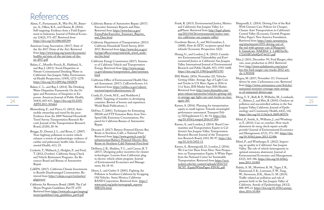## <span id="page-12-0"></span>References

- Alatas, V., Purnamasari, R., Wai-Poi, M., Baner jee, A., Olken, B.A., and Hanna, R. (2016). Self-targeting: Evidence from a Field Experi ment in Indonesia. Journal of Political Econo my 124(2), 371-427. Retrieved from <https://doi.org/10.1086/685299>
- American Lung Association. (2017). State of the Air 2017 (State of the Air). Retrieved from [http://www.lung.org/assets/documents/](http://www.lung.org/assets/documents/healthy-air/state-of-the-air/state-of-the-air-2017.pdf) [healthy-air/state-of-the-air/state-of-the](http://www.lung.org/assets/documents/healthy-air/state-of-the-air/state-of-the-air-2017.pdf)[air-2017.pdf](http://www.lung.org/assets/documents/healthy-air/state-of-the-air/state-of-the-air-2017.pdf)
- Balazs, C., Morello-Frosch, R., Hubbard, A., and Ray, I. (2011). Social Disparities in Nitrate-Contaminated Drinking Water in California's San Joaquin Valley. Environmen tal Health Perspectives, 119(9), 1272–1278. <https://doi.org/10.1289/ehp.1002878>
- Balazs, C. L., and Ray, I. (2014). The Drinking Water Disparities Framework: On the Or igins and Persistence of Inequities in Ex posure. American Journal of Public Health, 104(4), 603–611. [https://doi.org/10.2105/](https://doi.org/10.2105/AJPH.2013.301664) [AJPH.2013.301664](https://doi.org/10.2105/AJPH.2013.301664)
- Blumenberg, E., and Pierce, G. (2012). Auto mobile ownership and travel by the poor: Evidence from the 2009 National Household Travel Survey. Transportation Research Record: Journal of the Transportation Research Board, (2320), 28-36.
- Brugge, D., Durant, J. L., and Rioux, C. (2007). Near-highway pollutants in motor vehicle exhaust: a review of epidemiologic evidence of cardiac and pulmonary health risks. Environ mental Health, 6(1), 23.
- Cackette, T., Wallauch, J., Hedglin, P., and Ford, T. (2012, October). California Smog Check and Vehicle Retirement Programs. Air Re sources Board and Bureau of Automotive Repair.
- CalEPA. (2017). California Climate Investments to Benefit Disadvantaged Communities. Re trieved from [https://calepa.ca.gov/envjustice/](https://calepa.ca.gov/envjustice/ghginvest/) [ghginvest/](https://calepa.ca.gov/envjustice/ghginvest/)
- California Air Resources Board. (2008). The Carl Moyer Program Guidelines, Part IV of IV. Retrieved from [https://www.arb.ca.gov/msprog/](https://www.arb.ca.gov/msprog/moyer/guidelines/cmp_guidelines_part4.pdf) [moyer/guidelines/cmp\\_guidelines\\_part4.pdf](https://www.arb.ca.gov/msprog/moyer/guidelines/cmp_guidelines_part4.pdf)
- California Bureau of Automotive Repair. (2017). Executive Summary Reports and Data. Retrieved from [https://www.bar.ca.gov/](https://www.bar.ca.gov/FormsPubs/Executive_Summary_Reports_and_Data.html) [FormsPubs/Executive\\_Summary\\_Reports\\_](https://www.bar.ca.gov/FormsPubs/Executive_Summary_Reports_and_Data.html) [and\\_Data.html](https://www.bar.ca.gov/FormsPubs/Executive_Summary_Reports_and_Data.html)
- California Department of Transportation. (2013). California Household Travel Survey, 2010- 2013. Retrieved from [http://www.dot.ca.gov/](http://www.dot.ca.gov/hq/tpp/offices/omsp/statewide_travel_analysis/chts.html) [hq/tpp/offices/omsp/statewide\\_travel\\_analy](http://www.dot.ca.gov/hq/tpp/offices/omsp/statewide_travel_analysis/chts.html) [sis/chts.html](http://www.dot.ca.gov/hq/tpp/offices/omsp/statewide_travel_analysis/chts.html)
- California Energy Commission (2017). Summa ry of California Vehicle and Transportation Energy. Retrieved from [http://www.energy.](http://www.energy.ca.gov/almanac/transportation_data/summary.html) [ca.gov/almanac/transportation\\_data/summary.](http://www.energy.ca.gov/almanac/transportation_data/summary.html) [html](http://www.energy.ca.gov/almanac/transportation_data/summary.html)
- California Office of Environmental Health Haz ard Assessment. (2017). CalEnviroScreen 3.0. Retrieved from <u>[https://oehha.ca.gov/calenvi](https://oehha.ca.gov/calenviroscreen/report/calenviroscreen-30)-</u> [roscreen/report/calenviroscreen-30](https://oehha.ca.gov/calenviroscreen/report/calenviroscreen-30)
- Coady, D., Grosh, M.E., and Hoddinott J. (2004). Targeting of transfers in developing countries: Review of lessons and experience. World Bank Publications, 1.
- DeFries, T. (2001). Techniques for Estimating IM240 and FTP Emission Rates from Two-Speed Idle Emissions Concentrations. Prepared for California Bureau of Automotive Repair.
- Descant, S. (2017). Battery-Powered Electric Bus Route in Stockton, Calif., a National First. Retrieved from http://www.govtech.com/fs/ infrastructure/Battery-Powered-Electric-Bus-Route-in-Stockton-Calif-National-First.html
- DeShazo, J. R., Sheldon, T. L., and Carson, R. T. (2017). Designing policy incentives for cleaner technologies: Lessons from California's plugin electric vehicle rebate program. Journal of Environmental Economics and Manage ment, 84, 18-43.
- Dixon, L. and Garber S. (2001). Fighting Air Pollution in Southern California by Scrapping Old Vehicles. Santa Monica, California: RAND Corporation. Retrieved from [https://](https://www.rand.org/pubs/monograph_reports/MR1256.html.) [www.rand.org/pubs/monograph\\_reports/](https://www.rand.org/pubs/monograph_reports/MR1256.html.) [MR1256.html.](https://www.rand.org/pubs/monograph_reports/MR1256.html.)
- Frank, R. (2013). Environmental Justice, Metrics and California's San Joaquin Valley. Le galPlanet. Retrieved from [http://legal-planet.](http://legal-planet.org/2013/04/26/environmental-justice-metrics-californias-san-joaquin-valley/) [org/2013/04/26/environmental-justice-met](http://legal-planet.org/2013/04/26/environmental-justice-metrics-californias-san-joaquin-valley/) [rics-californias-san-joaquin-valley/](http://legal-planet.org/2013/04/26/environmental-justice-metrics-californias-san-joaquin-valley/)
- Goodman-Bacon, A., and McGranahan, L. (2008). How do EITC recipients spend their refunds? Economic Perspectives 32(2).
- Huang, G., and London, J. K. (2012). Cumula tive Environmental Vulnerability and Envi ronmental Justice in California's San Joaquin Valley. International Journal of Environmental Research and Public Health, 9(5), 1593–1608. <https://doi.org/10.3390/ijerph9051593>
- IHS Markit. (2016, November 22). Vehicles Getting Older: Average Age of Light Cars and Trucks in U.S. Rises Again in 2016 to 11.6 Years, IHS Markit Says. IHS Markit. Retrieved from [http://news.ihsmarkit.com/](http://news.ihsmarkit.com/press-release/automotive/vehicles-getting-older-average-age-light-cars-and-trucks-us-rises-again-201) [press-release/automotive/vehicles-getting-old](http://news.ihsmarkit.com/press-release/automotive/vehicles-getting-older-average-age-light-cars-and-trucks-us-rises-again-201) [er-average-age-light-cars-and-trucks-us-rises](http://news.ihsmarkit.com/press-release/automotive/vehicles-getting-older-average-age-light-cars-and-trucks-us-rises-again-201)[again-201](http://news.ihsmarkit.com/press-release/automotive/vehicles-getting-older-average-age-light-cars-and-trucks-us-rises-again-201)
- Karner, A. (2016). Planning for transportation equity in small regions: Towards meaningful performance assessment. Transport Policy, 52(Supplement C), 46–54. [https://doi.](https://doi.org/10.1016/j.tranpol.2016.07.004) [org/10.1016/j.tranpol.2016.07.004](https://doi.org/10.1016/j.tranpol.2016.07.004)
- Karner, A., and London, J. (2014). Rural Com munities and Transportation Equity in Cal ifornia's San Joaquin Valley. Transportation Research Record: Journal of the Transporta tion Research Board, 2452, 90–97. [https://doi.](https://doi.org/10.3141/2452-11) [org/10.3141/2452-11](https://doi.org/10.3141/2452-11)
- Karner, A., Rowangould, D., London, J. (2016). We Can Get There From Here: New Perspectives on Transportation Equity. A White Paper from the National Center for Sustainable Transportation. Retrieved from [https://ncst.](https://ncst.ucdavis.edu/wp-content/uploads/2016/12/NCST_EquityWhitePaper-FINAL.pdf) [ucdavis.edu/wp-content/uploads/2016/12/](https://ncst.ucdavis.edu/wp-content/uploads/2016/12/NCST_EquityWhitePaper-FINAL.pdf) [NCST\\_EquityWhitePaper-FINAL.pdf](https://ncst.ucdavis.edu/wp-content/uploads/2016/12/NCST_EquityWhitePaper-FINAL.pdf)

- Margonelli, L. (2014). Driving Out of the Red With Greener Cars: Policies for Cheaper, Cleaner Auto Transportation in California's Central Valley (Economic Growth Program Policy Paper). New America Foundation. Retrieved from [https://static.newamerica.](https://static.newamerica.org/attachments/4193-driving-out-of-the-red-with-greener-cars-2/Margonelli_GreenCars_NAF2014_1_1.d4b51ec9e172435f87a9a9f2e9744317.pdf) [org/attachments/4193-driving-out-of](https://static.newamerica.org/attachments/4193-driving-out-of-the-red-with-greener-cars-2/Margonelli_GreenCars_NAF2014_1_1.d4b51ec9e172435f87a9a9f2e9744317.pdf)[the-red-with-greener-cars-2/Margonel](https://static.newamerica.org/attachments/4193-driving-out-of-the-red-with-greener-cars-2/Margonelli_GreenCars_NAF2014_1_1.d4b51ec9e172435f87a9a9f2e9744317.pdf) <u>[li\\_GreenCars\\_NAF2014\\_1\\_1.d4b51ec9e](https://static.newamerica.org/attachments/4193-driving-out-of-the-red-with-greener-cars-2/Margonelli_GreenCars_NAF2014_1_1.d4b51ec9e172435f87a9a9f2e9744317.pdf)-</u> [172435f87a9a9f2e9744317.pdf](https://static.newamerica.org/attachments/4193-driving-out-of-the-red-with-greener-cars-2/Margonelli_GreenCars_NAF2014_1_1.d4b51ec9e172435f87a9a9f2e9744317.pdf)
- Max, J. (2011, December 19). Ford Ranger, other cars, cease production in 2012. Retrieved from [http://www.nydailynews.com/autos/](http://www.nydailynews.com/autos/bye-bye-ford-ranger-cars-trucks-2012-article-1.993938) [bye-bye-ford-ranger-cars-trucks-2012-arti](http://www.nydailynews.com/autos/bye-bye-ford-ranger-cars-trucks-2012-article-1.993938) [cle-1.993938](http://www.nydailynews.com/autos/bye-bye-ford-ranger-cars-trucks-2012-article-1.993938)
- Megna, M. (2017, November 15). Uninsured drivers by state. CarInsurance.com. Retrieved from [https://www.carinsurance.com/Articles/](https://www.carinsurance.com/Articles/uninsured-motorist-coverage-state-averages-of-uninsured-drivers.aspx) [uninsured-motorist-coverage-state-averag](https://www.carinsurance.com/Articles/uninsured-motorist-coverage-state-averages-of-uninsured-drivers.aspx) [es-of-uninsured-drivers.aspx](https://www.carinsurance.com/Articles/uninsured-motorist-coverage-state-averages-of-uninsured-drivers.aspx)
- 24 104(4), 603–611. https://doi.org/10.2105/ (2004). Targeting of transfers in developing countries: Review of lessons and experience. 25 again-201 C., Balmes, J., and Ritz, B. (2010). Outdoor air countries: Review of less Meng, Y.-Y., Rull, R. P., Wilhelm, M., Lombardi, pollution and uncontrolled asthma in the San Joaquin Valley, California. Journal of Epide miology and Community Health, 64(2), 142. <https://doi.org/10.1136/jech.2009.083576>
	- Mérel, P., Smith, A., Williams, J., and Wimberg er, E. (2014). Cars on crutches: How much abatement do smog check repairs actually provide? Journal of Environmental Economics and Management, 67(3), 371–395. [https://doi.](https://doi.org/10.1016/j.jeem.2013.12.006) [org/10.1016/j.jeem.2013.12.006](https://doi.org/10.1016/j.jeem.2013.12.006)
	- Mérel, P., and Wimberger, E. (2012). Improv ing air quality in California's San Joaquin Valley: The role of vehicle heterogeneity in optimal emissions abatement. Journal of Environmental Economics and Management, 63(2), 169–186. [https://doi.org/10.1016/j.](https://doi.org/10.1016/j.jeem.2011.10.004) [jeem.2011.10.004](https://doi.org/10.1016/j.jeem.2011.10.004)
	- Padula, A. M., Mortimer, K. M., Tager, I. B., Hammond, S. K., Lurmann, F. W., Yang, W., Stevenson, D.K., Shaw, G. M. (2014). Traffic-related air pollution and risk of preterm birth in the San Joaquin Valley of California. Annals of Epidemiology, 24(12), 888–895.e4. [https://doi.org/10.1016/j.annep](https://doi.org/10.1016/j.annepidem.2014.10.004) [idem.2014.10.004](https://doi.org/10.1016/j.annepidem.2014.10.004)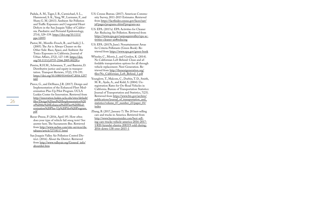- Padula, A. M., Tager, I. B., Carmichael, S. L., Hammond, S. K., Yang, W., Lurmann, F., and Shaw, G. M. (2013). Ambient Air Pollution and Traffic Exposures and Congenital Heart Defects in the San Joaquin Valley of California. Paediatric and Perinatal Epidemiology, 27(4), 329–339. [https://doi.org/10.1111/](https://doi.org/10.1111/ppe.12055) [ppe.12055](https://doi.org/10.1111/ppe.12055)
- Pastor, M., Morello-Frosch, R., and Sadd, J. L. (2005). The Air is Always Cleaner on the Other Side: Race, Space, and Ambient Air Toxics Exposures in California. Journal of Urban Affairs, 27(2), 127-148. [https://doi.](https://doi.org/10.1111/j.0735-2166.2005.00228.x) [org/10.1111/j.0735-2166.2005.00228.x](https://doi.org/10.1111/j.0735-2166.2005.00228.x)
- Pereira, R.H.M., Schwanen, T., and Banister, D. Distributive justice and equity in transportation. Transport Reviews, 37(2), 170-191. [https://doi.org/10.1080/01441647.2016.1257](https://doi.org/10.1080/01441647.2016.1257660) [660](https://doi.org/10.1080/01441647.2016.1257660)
- Pierce, G., and DeShazo, J.R. (2017). Design and Implementation of the Enhanced Fleet Modernization Plus-Up Pilot Program. UCLA Luskin Center for Innovation. Retrieved from [http://innovation.luskin.ucla.edu/sites/default/](http://innovation.luskin.ucla.edu/sites/default/files/Design%20and%20Implementation%20of%20the%20Enhanced%20Fleet%20Modernization%20Plus-Up%20Pilot%20Program.pdf) [files/Design%20and%20Implementation%20](http://innovation.luskin.ucla.edu/sites/default/files/Design%20and%20Implementation%20of%20the%20Enhanced%20Fleet%20Modernization%20Plus-Up%20Pilot%20Program.pdf) [of%20the%20Enhanced%20Fleet%20Mod](http://innovation.luskin.ucla.edu/sites/default/files/Design%20and%20Implementation%20of%20the%20Enhanced%20Fleet%20Modernization%20Plus-Up%20Pilot%20Program.pdf)[ernization%20Plus-Up%20Pilot%20Program.](http://innovation.luskin.ucla.edu/sites/default/files/Design%20and%20Implementation%20of%20the%20Enhanced%20Fleet%20Modernization%20Plus-Up%20Pilot%20Program.pdf) [pdf](http://innovation.luskin.ucla.edu/sites/default/files/Design%20and%20Implementation%20of%20the%20Enhanced%20Fleet%20Modernization%20Plus-Up%20Pilot%20Program.pdf)
- Reese-Preese, P. (2016, April 19). How often does your type of vehicle fail smog tests? See answer here. The Sacramento Bee. Retrieved from [http://www.sacbee.com/site-services/da](http://www.sacbee.com/site-services/databases/article72718117.html)[tabases/article72718117.html](http://www.sacbee.com/site-services/databases/article72718117.html)
- San Joaquin Valley Air Pollution Control District. (2016). About the District. Retrieved from [http://www.valleyair.org/General\\_info/](http://www.valleyair.org/General_info/aboutdist.htm) [aboutdist.htm](http://www.valleyair.org/General_info/aboutdist.htm)
- U.S. Census Bureau. (2017). American Community Survey, 2011-2015 Estimates. Retrieved from [https://factfinder.census.gov/faces/nav/](https://factfinder.census.gov/faces/nav/jsf/pages/programs.xhtml?program=acs) [jsf/pages/programs.xhtml?program=acs](https://factfinder.census.gov/faces/nav/jsf/pages/programs.xhtml?program=acs)
- U.S. EPA. (2017a). EPA Activities for Cleaner Air: Reducing Air Pollution. Retrieved from [https://www.epa.gov/sanjoaquinvalley/epa-ac](https://www.epa.gov/sanjoaquinvalley/epa-activities-cleaner-air#reducing)[tivities-cleaner-air#reducing](https://www.epa.gov/sanjoaquinvalley/epa-activities-cleaner-air#reducing)
- U.S. EPA. (2017b, June). Nonattainment Areas for Criteria Pollutants (Green Book). Retrieved from<https://www.epa.gov/green-book>
- Wheeler, C., Morris, J., and Gordon, K. (2014). No Californian Left Behind: Clean and affordable transportation options for all through vehicle replacement. Next Generation. Retrieved from [http://thenextgeneration.org/](http://thenextgeneration.org/files/No_Californian_Left_Behind_1.pdf) [files/No\\_Californian\\_Left\\_Behind\\_1.pdf](http://thenextgeneration.org/files/No_Californian_Left_Behind_1.pdf)
- Younglove, T., Malcom, C., Durbin, T. D., Smith, M. R., Ayala, A., and Kidd, S. (2004). Unregistration Rates for On-Road Vehicles in California. Bureau of Transportation Statistics: Journal of Transportation and Statistics, 7(23). Retrieved from [https://www.bts.gov/archive/](https://www.bts.gov/archive/publications/journal_of_transportation_and_statistics/volume_07_number_23/paper_01/index) publications/journal\_of\_transportation\_and [statistics/volume\\_07\\_number\\_23/paper\\_01/](https://www.bts.gov/archive/publications/journal_of_transportation_and_statistics/volume_07_number_23/paper_01/index) [index](https://www.bts.gov/archive/publications/journal_of_transportation_and_statistics/volume_07_number_23/paper_01/index)
- Zhang, B. (2017, January 7). The 20 best-selling cars and trucks in America. Retrieved from [http://www.businessinsider.com/best-sell](http://www.businessinsider.com/best-selling-cars-trucks-vehicle-america-2016-2017-1/#20-hyundai-elantra-208319-sold-during-2016-down-138-over-2015-1)[ing-cars-trucks-vehicle-america-2016-2017-](http://www.businessinsider.com/best-selling-cars-trucks-vehicle-america-2016-2017-1/#20-hyundai-elantra-208319-sold-during-2016-down-138-over-2015-1) [1/#20-hyundai-elantra-208319-sold-during-](http://www.businessinsider.com/best-selling-cars-trucks-vehicle-america-2016-2017-1/#20-hyundai-elantra-208319-sold-during-2016-down-138-over-2015-1)[2016-down-138-over-2015-1](http://www.businessinsider.com/best-selling-cars-trucks-vehicle-america-2016-2017-1/#20-hyundai-elantra-208319-sold-during-2016-down-138-over-2015-1)